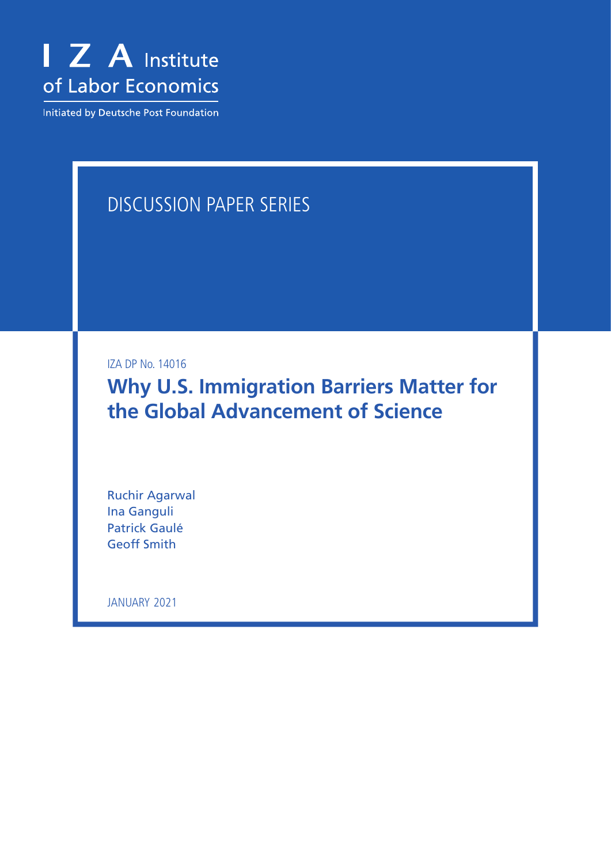

Initiated by Deutsche Post Foundation

# DISCUSSION PAPER SERIES

IZA DP No. 14016

**Why U.S. Immigration Barriers Matter for the Global Advancement of Science**

Ruchir Agarwal Ina Ganguli Patrick Gaulé Geoff Smith

JANUARY 2021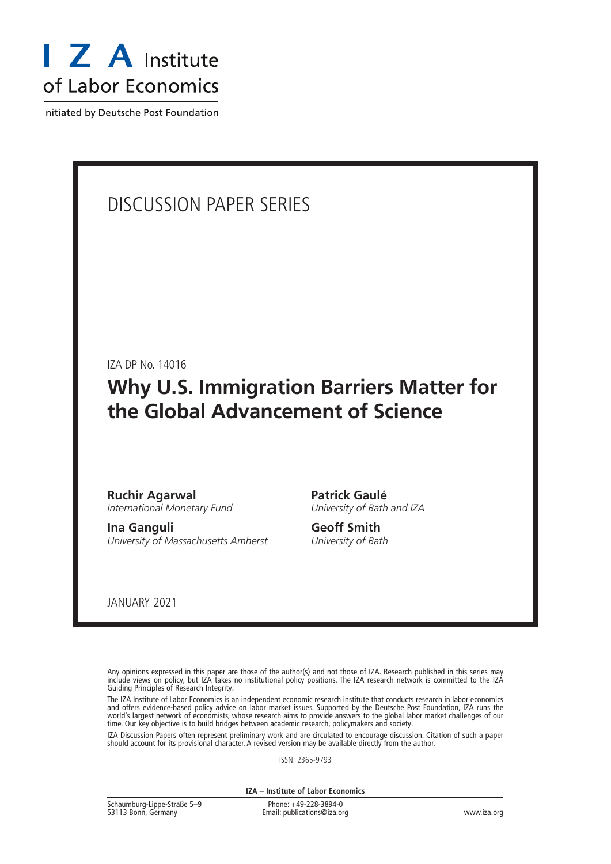

Initiated by Deutsche Post Foundation

## DISCUSSION PAPER SERIES

IZA DP No. 14016

# **Why U.S. Immigration Barriers Matter for the Global Advancement of Science**

**Ruchir Agarwal** *International Monetary Fund*

**Ina Ganguli** *University of Massachusetts Amherst* **Patrick Gaulé** *University of Bath and IZA*

**Geoff Smith** *University of Bath*

JANUARY 2021

Any opinions expressed in this paper are those of the author(s) and not those of IZA. Research published in this series may include views on policy, but IZA takes no institutional policy positions. The IZA research network is committed to the IZA Guiding Principles of Research Integrity.

The IZA Institute of Labor Economics is an independent economic research institute that conducts research in labor economics and offers evidence-based policy advice on labor market issues. Supported by the Deutsche Post Foundation, IZA runs the world's largest network of economists, whose research aims to provide answers to the global labor market challenges of our time. Our key objective is to build bridges between academic research, policymakers and society.

IZA Discussion Papers often represent preliminary work and are circulated to encourage discussion. Citation of such a paper should account for its provisional character. A revised version may be available directly from the author.

ISSN: 2365-9793

**IZA – Institute of Labor Economics**

| Schaumburg-Lippe-Straße 5-9 | Phone: +49-228-3894-0       |             |
|-----------------------------|-----------------------------|-------------|
| 53113 Bonn, Germany         | Email: publications@iza.org | www.iza.org |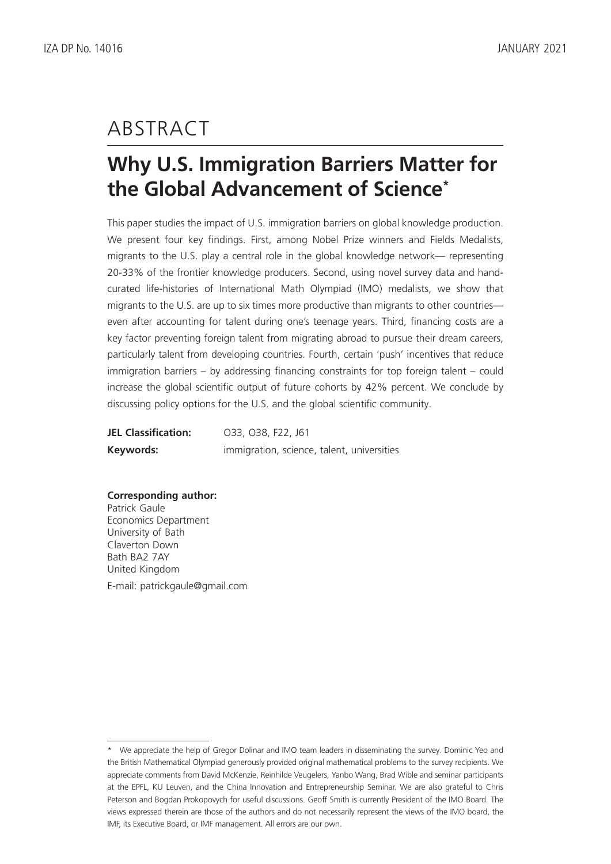# ABSTRACT

# **Why U.S. Immigration Barriers Matter for the Global Advancement of Science\***

This paper studies the impact of U.S. immigration barriers on global knowledge production. We present four key findings. First, among Nobel Prize winners and Fields Medalists, migrants to the U.S. play a central role in the global knowledge network— representing 20-33% of the frontier knowledge producers. Second, using novel survey data and handcurated life-histories of International Math Olympiad (IMO) medalists, we show that migrants to the U.S. are up to six times more productive than migrants to other countries even after accounting for talent during one's teenage years. Third, financing costs are a key factor preventing foreign talent from migrating abroad to pursue their dream careers, particularly talent from developing countries. Fourth, certain 'push' incentives that reduce immigration barriers – by addressing financing constraints for top foreign talent – could increase the global scientific output of future cohorts by 42% percent. We conclude by discussing policy options for the U.S. and the global scientific community.

| <b>JEL Classification:</b> | O33, O38, F22, J61                         |
|----------------------------|--------------------------------------------|
| Keywords:                  | immigration, science, talent, universities |

### **Corresponding author:**

Patrick Gaule Economics Department University of Bath Claverton Down Bath BA2 7AY United Kingdom E-mail: patrickgaule@gmail.com

<sup>\*</sup> We appreciate the help of Gregor Dolinar and IMO team leaders in disseminating the survey. Dominic Yeo and the British Mathematical Olympiad generously provided original mathematical problems to the survey recipients. We appreciate comments from David McKenzie, Reinhilde Veugelers, Yanbo Wang, Brad Wible and seminar participants at the EPFL, KU Leuven, and the China Innovation and Entrepreneurship Seminar. We are also grateful to Chris Peterson and Bogdan Prokopovych for useful discussions. Geoff Smith is currently President of the IMO Board. The views expressed therein are those of the authors and do not necessarily represent the views of the IMO board, the IMF, its Executive Board, or IMF management. All errors are our own.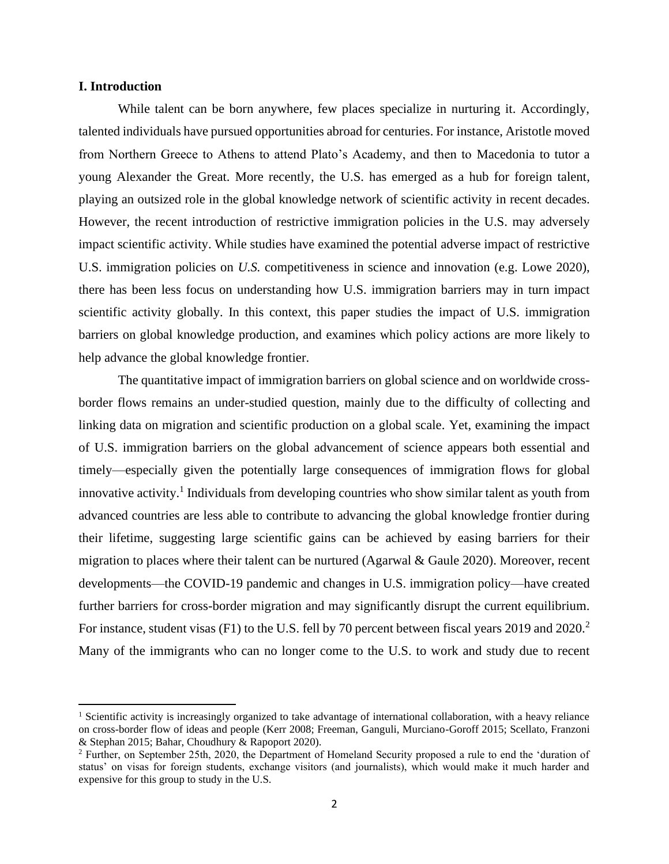### **I. Introduction**

While talent can be born anywhere, few places specialize in nurturing it. Accordingly, talented individuals have pursued opportunities abroad for centuries. For instance, Aristotle moved from Northern Greece to Athens to attend Plato's Academy, and then to Macedonia to tutor a young Alexander the Great. More recently, the U.S. has emerged as a hub for foreign talent, playing an outsized role in the global knowledge network of scientific activity in recent decades. However, the recent introduction of restrictive immigration policies in the U.S. may adversely impact scientific activity. While studies have examined the potential adverse impact of restrictive U.S. immigration policies on *U.S.* competitiveness in science and innovation (e.g. Lowe 2020), there has been less focus on understanding how U.S. immigration barriers may in turn impact scientific activity globally. In this context, this paper studies the impact of U.S. immigration barriers on global knowledge production, and examines which policy actions are more likely to help advance the global knowledge frontier.

The quantitative impact of immigration barriers on global science and on worldwide crossborder flows remains an under-studied question, mainly due to the difficulty of collecting and linking data on migration and scientific production on a global scale. Yet, examining the impact of U.S. immigration barriers on the global advancement of science appears both essential and timely—especially given the potentially large consequences of immigration flows for global innovative activity.<sup>1</sup> Individuals from developing countries who show similar talent as youth from advanced countries are less able to contribute to advancing the global knowledge frontier during their lifetime, suggesting large scientific gains can be achieved by easing barriers for their migration to places where their talent can be nurtured (Agarwal & Gaule 2020). Moreover, recent developments—the COVID-19 pandemic and changes in U.S. immigration policy—have created further barriers for cross-border migration and may significantly disrupt the current equilibrium. For instance, student visas (F1) to the U.S. fell by 70 percent between fiscal years 2019 and 2020.<sup>2</sup> Many of the immigrants who can no longer come to the U.S. to work and study due to recent

<sup>1</sup> Scientific activity is increasingly organized to take advantage of international collaboration, with a heavy reliance on cross-border flow of ideas and people (Kerr 2008; Freeman, Ganguli, Murciano-Goroff 2015; Scellato, Franzoni & Stephan 2015; Bahar, Choudhury & Rapoport 2020).

<sup>2</sup> Further, on September 25th, 2020, the Department of Homeland Security proposed a rule to end the 'duration of status' on visas for foreign students, exchange visitors (and journalists), which would make it much harder and expensive for this group to study in the U.S.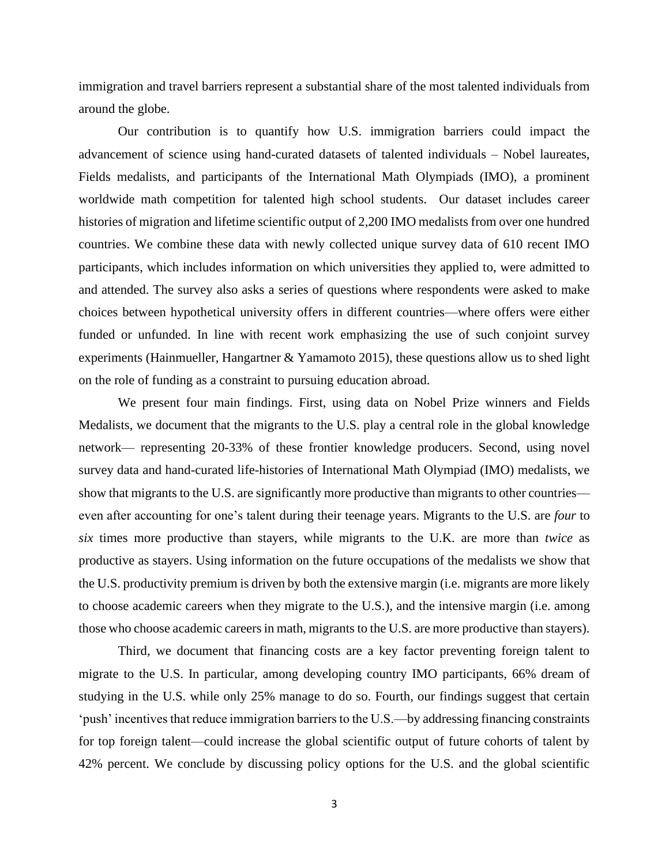immigration and travel barriers represent a substantial share of the most talented individuals from around the globe.

Our contribution is to quantify how U.S. immigration barriers could impact the advancement of science using hand-curated datasets of talented individuals – Nobel laureates, Fields medalists, and participants of the International Math Olympiads (IMO), a prominent worldwide math competition for talented high school students. Our dataset includes career histories of migration and lifetime scientific output of 2,200 IMO medalists from over one hundred countries. We combine these data with newly collected unique survey data of 610 recent IMO participants, which includes information on which universities they applied to, were admitted to and attended. The survey also asks a series of questions where respondents were asked to make choices between hypothetical university offers in different countries—where offers were either funded or unfunded. In line with recent work emphasizing the use of such conjoint survey experiments (Hainmueller, Hangartner & Yamamoto 2015), these questions allow us to shed light on the role of funding as a constraint to pursuing education abroad.

We present four main findings. First, using data on Nobel Prize winners and Fields Medalists, we document that the migrants to the U.S. play a central role in the global knowledge network— representing 20-33% of these frontier knowledge producers. Second, using novel survey data and hand-curated life-histories of International Math Olympiad (IMO) medalists, we show that migrants to the U.S. are significantly more productive than migrants to other countries even after accounting for one's talent during their teenage years. Migrants to the U.S. are *four* to *six* times more productive than stayers, while migrants to the U.K. are more than *twice* as productive as stayers. Using information on the future occupations of the medalists we show that the U.S. productivity premium is driven by both the extensive margin (i.e. migrants are more likely to choose academic careers when they migrate to the U.S.), and the intensive margin (i.e. among those who choose academic careers in math, migrants to the U.S. are more productive than stayers).

Third, we document that financing costs are a key factor preventing foreign talent to migrate to the U.S. In particular, among developing country IMO participants, 66% dream of studying in the U.S. while only 25% manage to do so. Fourth, our findings suggest that certain 'push' incentives that reduce immigration barriers to the U.S.—by addressing financing constraints for top foreign talent—could increase the global scientific output of future cohorts of talent by 42% percent. We conclude by discussing policy options for the U.S. and the global scientific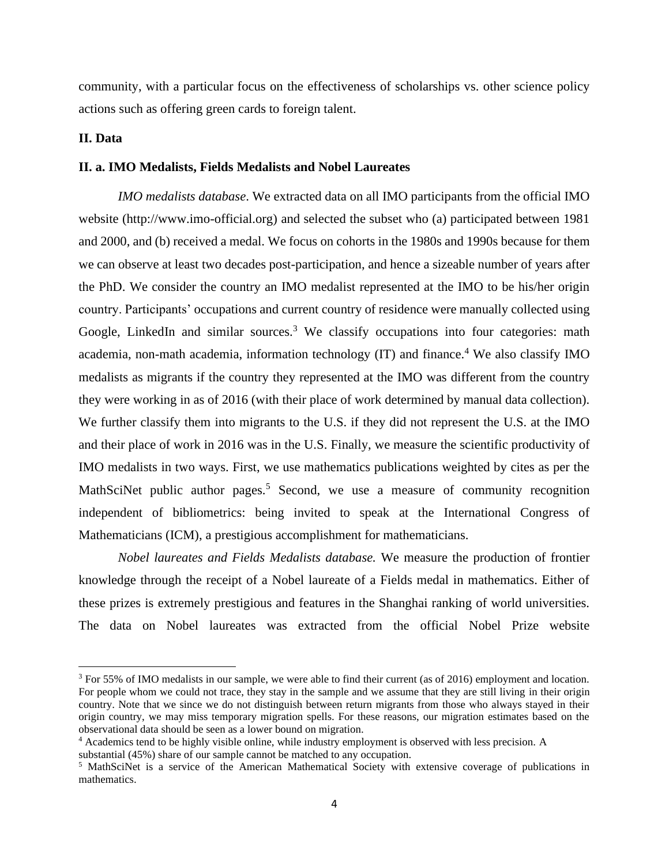community, with a particular focus on the effectiveness of scholarships vs. other science policy actions such as offering green cards to foreign talent.

### **II. Data**

### **II. a. IMO Medalists, Fields Medalists and Nobel Laureates**

*IMO medalists database*. We extracted data on all IMO participants from the official IMO website (http://www.imo-official.org) and selected the subset who (a) participated between 1981 and 2000, and (b) received a medal. We focus on cohorts in the 1980s and 1990s because for them we can observe at least two decades post-participation, and hence a sizeable number of years after the PhD. We consider the country an IMO medalist represented at the IMO to be his/her origin country. Participants' occupations and current country of residence were manually collected using Google, LinkedIn and similar sources.<sup>3</sup> We classify occupations into four categories: math academia, non-math academia, information technology  $(IT)$  and finance.<sup>4</sup> We also classify IMO medalists as migrants if the country they represented at the IMO was different from the country they were working in as of 2016 (with their place of work determined by manual data collection). We further classify them into migrants to the U.S. if they did not represent the U.S. at the IMO and their place of work in 2016 was in the U.S. Finally, we measure the scientific productivity of IMO medalists in two ways. First, we use mathematics publications weighted by cites as per the MathSciNet public author pages.<sup>5</sup> Second, we use a measure of community recognition independent of bibliometrics: being invited to speak at the International Congress of Mathematicians (ICM), a prestigious accomplishment for mathematicians.

*Nobel laureates and Fields Medalists database.* We measure the production of frontier knowledge through the receipt of a Nobel laureate of a Fields medal in mathematics. Either of these prizes is extremely prestigious and features in the Shanghai ranking of world universities. The data on Nobel laureates was extracted from the official Nobel Prize website

<sup>&</sup>lt;sup>3</sup> For 55% of IMO medalists in our sample, we were able to find their current (as of 2016) employment and location. For people whom we could not trace, they stay in the sample and we assume that they are still living in their origin country. Note that we since we do not distinguish between return migrants from those who always stayed in their origin country, we may miss temporary migration spells. For these reasons, our migration estimates based on the observational data should be seen as a lower bound on migration.

<sup>4</sup> Academics tend to be highly visible online, while industry employment is observed with less precision. A

substantial (45%) share of our sample cannot be matched to any occupation.

<sup>5</sup> MathSciNet is a service of the American Mathematical Society with extensive coverage of publications in mathematics.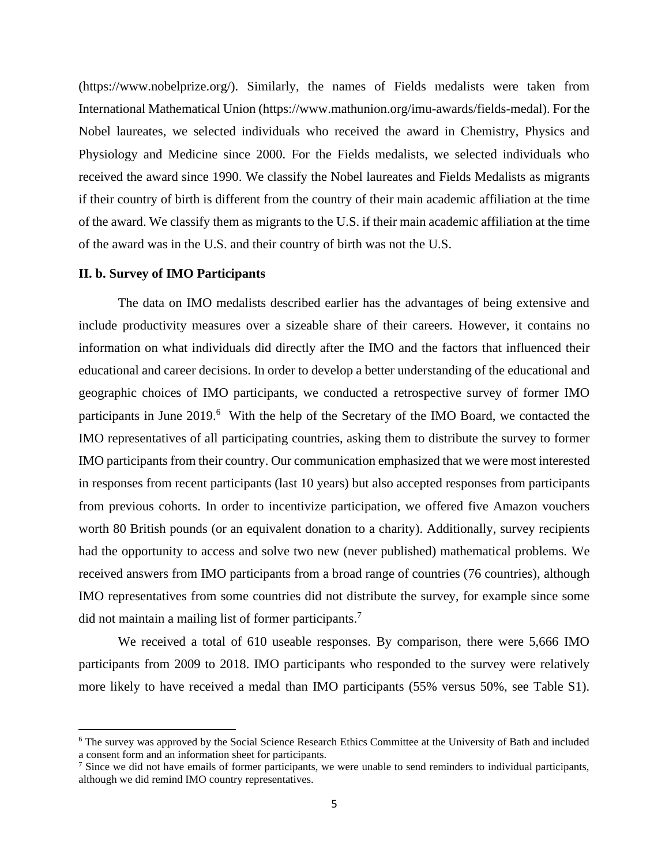(https://www.nobelprize.org/). Similarly, the names of Fields medalists were taken from International Mathematical Union (https://www.mathunion.org/imu-awards/fields-medal). For the Nobel laureates, we selected individuals who received the award in Chemistry, Physics and Physiology and Medicine since 2000. For the Fields medalists, we selected individuals who received the award since 1990. We classify the Nobel laureates and Fields Medalists as migrants if their country of birth is different from the country of their main academic affiliation at the time of the award. We classify them as migrants to the U.S. if their main academic affiliation at the time of the award was in the U.S. and their country of birth was not the U.S.

#### **II. b. Survey of IMO Participants**

The data on IMO medalists described earlier has the advantages of being extensive and include productivity measures over a sizeable share of their careers. However, it contains no information on what individuals did directly after the IMO and the factors that influenced their educational and career decisions. In order to develop a better understanding of the educational and geographic choices of IMO participants, we conducted a retrospective survey of former IMO participants in June 2019.<sup>6</sup> With the help of the Secretary of the IMO Board, we contacted the IMO representatives of all participating countries, asking them to distribute the survey to former IMO participants from their country. Our communication emphasized that we were most interested in responses from recent participants (last 10 years) but also accepted responses from participants from previous cohorts. In order to incentivize participation, we offered five Amazon vouchers worth 80 British pounds (or an equivalent donation to a charity). Additionally, survey recipients had the opportunity to access and solve two new (never published) mathematical problems. We received answers from IMO participants from a broad range of countries (76 countries), although IMO representatives from some countries did not distribute the survey, for example since some did not maintain a mailing list of former participants.<sup>7</sup>

We received a total of 610 useable responses. By comparison, there were 5,666 IMO participants from 2009 to 2018. IMO participants who responded to the survey were relatively more likely to have received a medal than IMO participants (55% versus 50%, see Table S1).

<sup>6</sup> The survey was approved by the Social Science Research Ethics Committee at the University of Bath and included a consent form and an information sheet for participants.

 $<sup>7</sup>$  Since we did not have emails of former participants, we were unable to send reminders to individual participants,</sup> although we did remind IMO country representatives.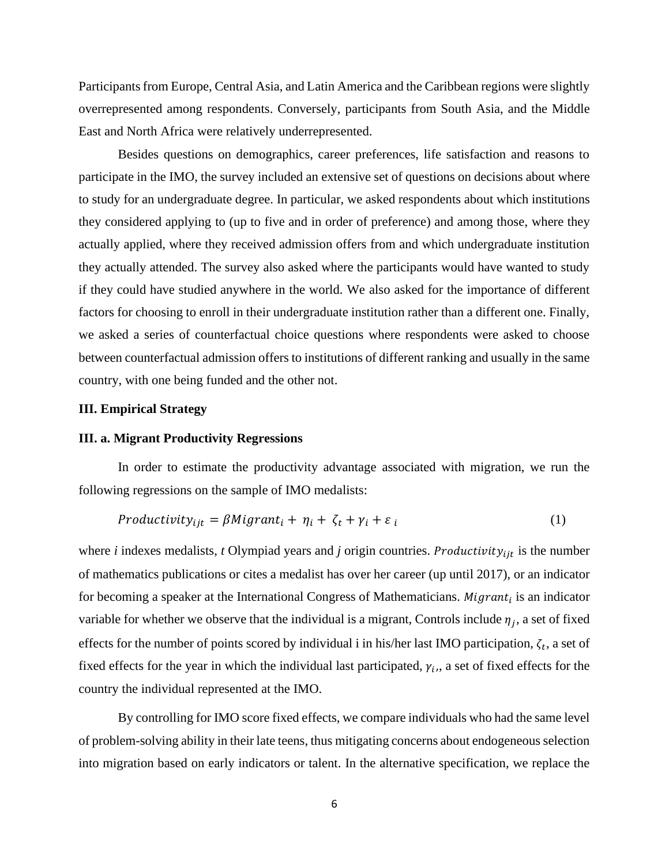Participants from Europe, Central Asia, and Latin America and the Caribbean regions were slightly overrepresented among respondents. Conversely, participants from South Asia, and the Middle East and North Africa were relatively underrepresented.

Besides questions on demographics, career preferences, life satisfaction and reasons to participate in the IMO, the survey included an extensive set of questions on decisions about where to study for an undergraduate degree. In particular, we asked respondents about which institutions they considered applying to (up to five and in order of preference) and among those, where they actually applied, where they received admission offers from and which undergraduate institution they actually attended. The survey also asked where the participants would have wanted to study if they could have studied anywhere in the world. We also asked for the importance of different factors for choosing to enroll in their undergraduate institution rather than a different one. Finally, we asked a series of counterfactual choice questions where respondents were asked to choose between counterfactual admission offers to institutions of different ranking and usually in the same country, with one being funded and the other not.

### **III. Empirical Strategy**

### **III. a. Migrant Productivity Regressions**

In order to estimate the productivity advantage associated with migration, we run the following regressions on the sample of IMO medalists:

$$
Productivity_{ijt} = \beta Migrant_i + \eta_i + \zeta_t + \gamma_i + \varepsilon_i \tag{1}
$$

where *i* indexes medalists, *t* Olympiad years and *j* origin countries. *Productivity*<sub>ijt</sub> is the number of mathematics publications or cites a medalist has over her career (up until 2017), or an indicator for becoming a speaker at the International Congress of Mathematicians.  $Migrant_i$  is an indicator variable for whether we observe that the individual is a migrant, Controls include  $\eta_j$ , a set of fixed effects for the number of points scored by individual i in his/her last IMO participation,  $\zeta_t$ , a set of fixed effects for the year in which the individual last participated,  $\gamma_i$ , a set of fixed effects for the country the individual represented at the IMO.

By controlling for IMO score fixed effects, we compare individuals who had the same level of problem-solving ability in their late teens, thus mitigating concerns about endogeneous selection into migration based on early indicators or talent. In the alternative specification, we replace the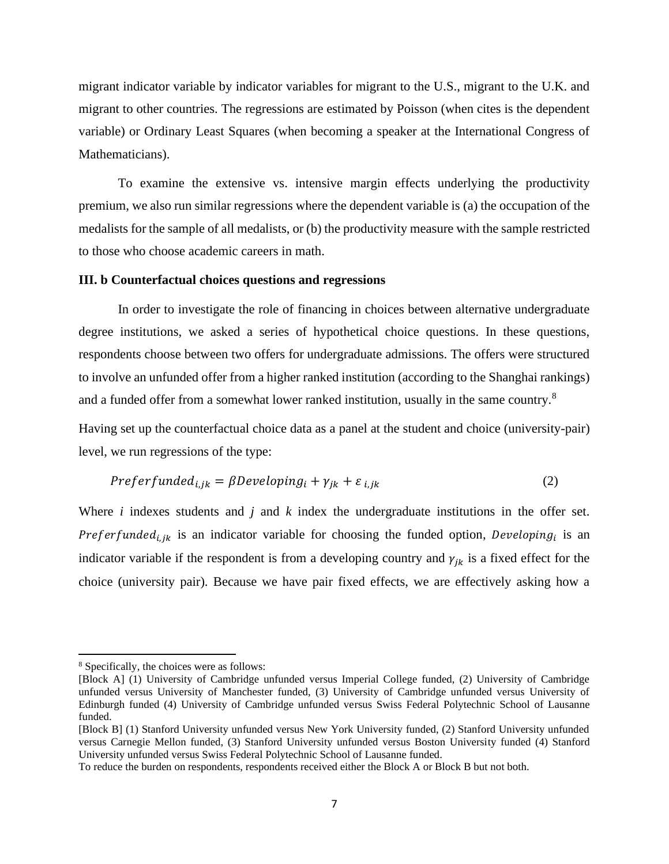migrant indicator variable by indicator variables for migrant to the U.S., migrant to the U.K. and migrant to other countries. The regressions are estimated by Poisson (when cites is the dependent variable) or Ordinary Least Squares (when becoming a speaker at the International Congress of Mathematicians).

To examine the extensive vs. intensive margin effects underlying the productivity premium, we also run similar regressions where the dependent variable is (a) the occupation of the medalists for the sample of all medalists, or (b) the productivity measure with the sample restricted to those who choose academic careers in math.

#### **III. b Counterfactual choices questions and regressions**

In order to investigate the role of financing in choices between alternative undergraduate degree institutions, we asked a series of hypothetical choice questions. In these questions, respondents choose between two offers for undergraduate admissions. The offers were structured to involve an unfunded offer from a higher ranked institution (according to the Shanghai rankings) and a funded offer from a somewhat lower ranked institution, usually in the same country.<sup>8</sup>

Having set up the counterfactual choice data as a panel at the student and choice (university-pair) level, we run regressions of the type:

$$
Preferfunded_{i,jk} = \beta Developing_i + \gamma_{jk} + \varepsilon_{i,jk}
$$
\n(2)

Where *i* indexes students and *j* and *k* index the undergraduate institutions in the offer set. Preferfunded<sub>i, jk</sub> is an indicator variable for choosing the funded option, Developing<sub>i</sub> is an indicator variable if the respondent is from a developing country and  $\gamma_{ik}$  is a fixed effect for the choice (university pair). Because we have pair fixed effects, we are effectively asking how a

<sup>8</sup> Specifically, the choices were as follows:

<sup>[</sup>Block A] (1) University of Cambridge unfunded versus Imperial College funded, (2) University of Cambridge unfunded versus University of Manchester funded, (3) University of Cambridge unfunded versus University of Edinburgh funded (4) University of Cambridge unfunded versus Swiss Federal Polytechnic School of Lausanne funded.

<sup>[</sup>Block B] (1) Stanford University unfunded versus New York University funded, (2) Stanford University unfunded versus Carnegie Mellon funded, (3) Stanford University unfunded versus Boston University funded (4) Stanford University unfunded versus Swiss Federal Polytechnic School of Lausanne funded.

To reduce the burden on respondents, respondents received either the Block A or Block B but not both.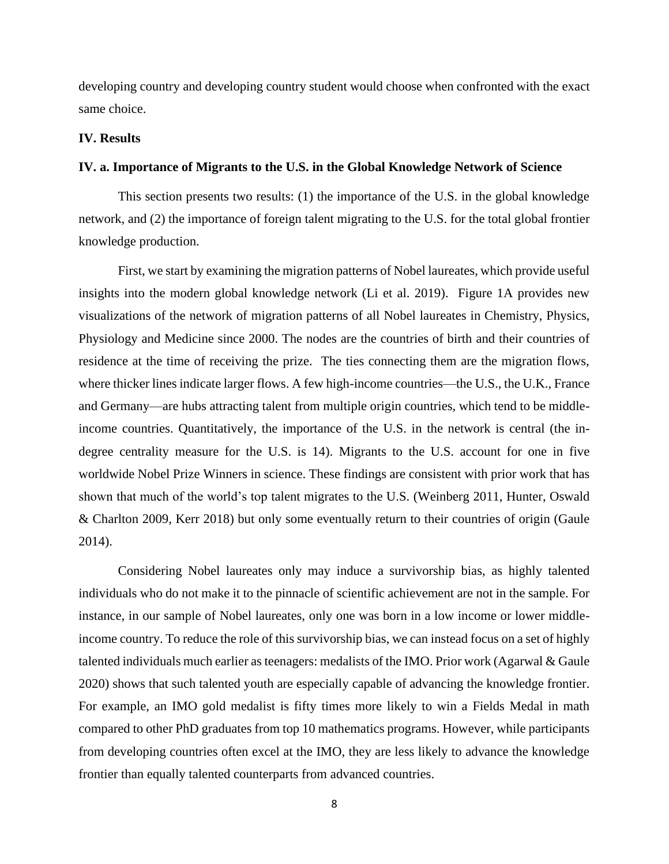developing country and developing country student would choose when confronted with the exact same choice.

### **IV. Results**

### **IV. a. Importance of Migrants to the U.S. in the Global Knowledge Network of Science**

This section presents two results: (1) the importance of the U.S. in the global knowledge network, and (2) the importance of foreign talent migrating to the U.S. for the total global frontier knowledge production.

First, we start by examining the migration patterns of Nobel laureates, which provide useful insights into the modern global knowledge network (Li et al. 2019). Figure 1A provides new visualizations of the network of migration patterns of all Nobel laureates in Chemistry, Physics, Physiology and Medicine since 2000. The nodes are the countries of birth and their countries of residence at the time of receiving the prize. The ties connecting them are the migration flows, where thicker lines indicate larger flows. A few high-income countries—the U.S., the U.K., France and Germany—are hubs attracting talent from multiple origin countries, which tend to be middleincome countries. Quantitatively, the importance of the U.S. in the network is central (the indegree centrality measure for the U.S. is 14). Migrants to the U.S. account for one in five worldwide Nobel Prize Winners in science. These findings are consistent with prior work that has shown that much of the world's top talent migrates to the U.S. (Weinberg 2011, Hunter, Oswald & Charlton 2009, Kerr 2018) but only some eventually return to their countries of origin (Gaule 2014).

Considering Nobel laureates only may induce a survivorship bias, as highly talented individuals who do not make it to the pinnacle of scientific achievement are not in the sample. For instance, in our sample of Nobel laureates, only one was born in a low income or lower middleincome country. To reduce the role of this survivorship bias, we can instead focus on a set of highly talented individuals much earlier as teenagers: medalists of the IMO. Prior work (Agarwal & Gaule 2020) shows that such talented youth are especially capable of advancing the knowledge frontier. For example, an IMO gold medalist is fifty times more likely to win a Fields Medal in math compared to other PhD graduates from top 10 mathematics programs. However, while participants from developing countries often excel at the IMO, they are less likely to advance the knowledge frontier than equally talented counterparts from advanced countries.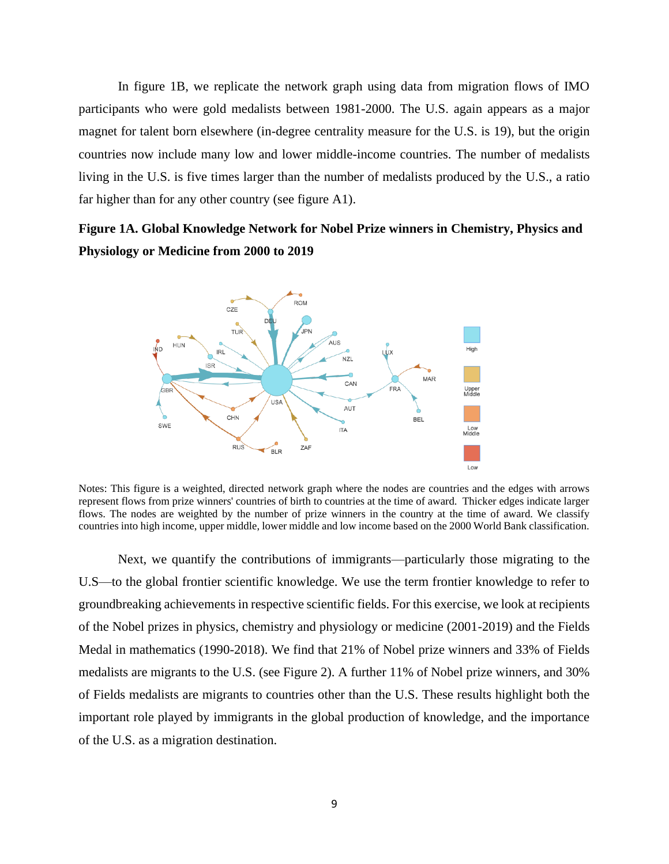In figure 1B, we replicate the network graph using data from migration flows of IMO participants who were gold medalists between 1981-2000. The U.S. again appears as a major magnet for talent born elsewhere (in-degree centrality measure for the U.S. is 19), but the origin countries now include many low and lower middle-income countries. The number of medalists living in the U.S. is five times larger than the number of medalists produced by the U.S., a ratio far higher than for any other country (see figure A1).

## **Figure 1A. Global Knowledge Network for Nobel Prize winners in Chemistry, Physics and Physiology or Medicine from 2000 to 2019**



Notes: This figure is a weighted, directed network graph where the nodes are countries and the edges with arrows represent flows from prize winners' countries of birth to countries at the time of award. Thicker edges indicate larger flows. The nodes are weighted by the number of prize winners in the country at the time of award. We classify countries into high income, upper middle, lower middle and low income based on the 2000 World Bank classification.

Next, we quantify the contributions of immigrants—particularly those migrating to the U.S—to the global frontier scientific knowledge. We use the term frontier knowledge to refer to groundbreaking achievements in respective scientific fields. For this exercise, we look at recipients of the Nobel prizes in physics, chemistry and physiology or medicine (2001-2019) and the Fields Medal in mathematics (1990-2018). We find that 21% of Nobel prize winners and 33% of Fields medalists are migrants to the U.S. (see Figure 2). A further 11% of Nobel prize winners, and 30% of Fields medalists are migrants to countries other than the U.S. These results highlight both the important role played by immigrants in the global production of knowledge, and the importance of the U.S. as a migration destination.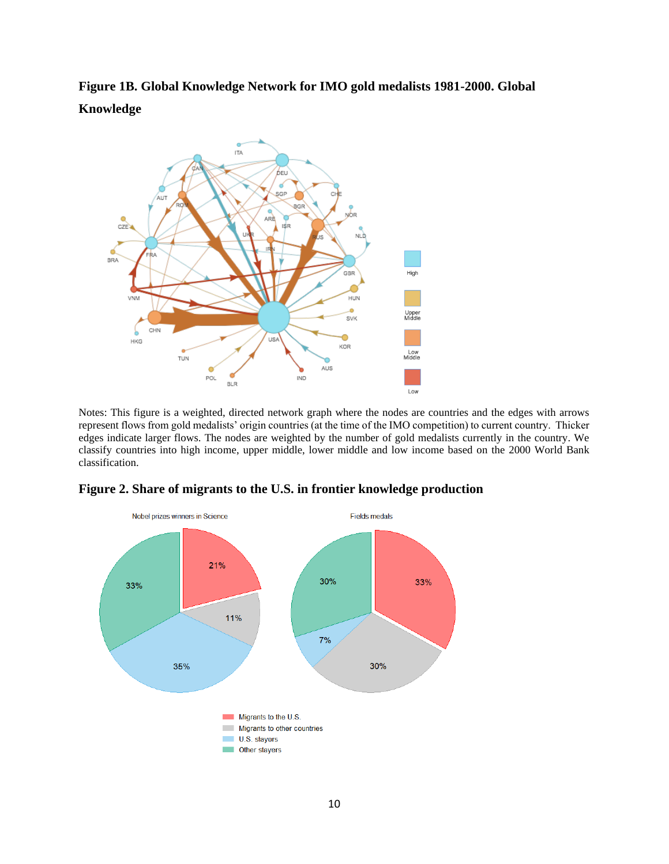**Figure 1B. Global Knowledge Network for IMO gold medalists 1981-2000. Global Knowledge** 



Notes: This figure is a weighted, directed network graph where the nodes are countries and the edges with arrows represent flows from gold medalists' origin countries (at the time of the IMO competition) to current country. Thicker edges indicate larger flows. The nodes are weighted by the number of gold medalists currently in the country. We classify countries into high income, upper middle, lower middle and low income based on the 2000 World Bank classification.



**Figure 2. Share of migrants to the U.S. in frontier knowledge production**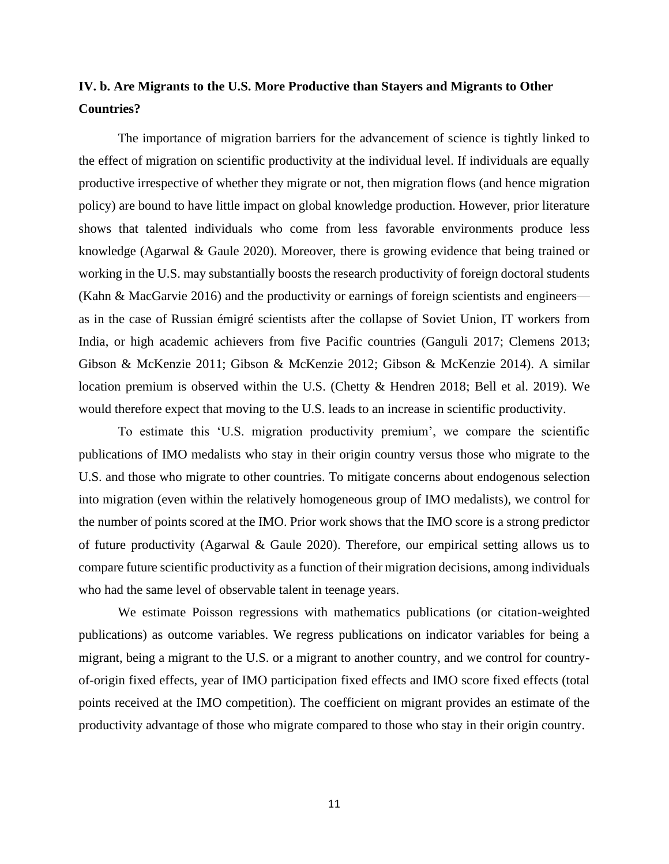### **IV. b. Are Migrants to the U.S. More Productive than Stayers and Migrants to Other Countries?**

The importance of migration barriers for the advancement of science is tightly linked to the effect of migration on scientific productivity at the individual level. If individuals are equally productive irrespective of whether they migrate or not, then migration flows (and hence migration policy) are bound to have little impact on global knowledge production. However, prior literature shows that talented individuals who come from less favorable environments produce less knowledge (Agarwal & Gaule 2020). Moreover, there is growing evidence that being trained or working in the U.S. may substantially boosts the research productivity of foreign doctoral students (Kahn & MacGarvie 2016) and the productivity or earnings of foreign scientists and engineers as in the case of Russian émigré scientists after the collapse of Soviet Union, IT workers from India, or high academic achievers from five Pacific countries (Ganguli 2017; Clemens 2013; Gibson & McKenzie 2011; Gibson & McKenzie 2012; Gibson & McKenzie 2014). A similar location premium is observed within the U.S. (Chetty & Hendren 2018; Bell et al. 2019). We would therefore expect that moving to the U.S. leads to an increase in scientific productivity.

To estimate this 'U.S. migration productivity premium', we compare the scientific publications of IMO medalists who stay in their origin country versus those who migrate to the U.S. and those who migrate to other countries. To mitigate concerns about endogenous selection into migration (even within the relatively homogeneous group of IMO medalists), we control for the number of points scored at the IMO. Prior work shows that the IMO score is a strong predictor of future productivity (Agarwal & Gaule 2020). Therefore, our empirical setting allows us to compare future scientific productivity as a function of their migration decisions, among individuals who had the same level of observable talent in teenage years.

We estimate Poisson regressions with mathematics publications (or citation-weighted publications) as outcome variables. We regress publications on indicator variables for being a migrant, being a migrant to the U.S. or a migrant to another country, and we control for countryof-origin fixed effects, year of IMO participation fixed effects and IMO score fixed effects (total points received at the IMO competition). The coefficient on migrant provides an estimate of the productivity advantage of those who migrate compared to those who stay in their origin country.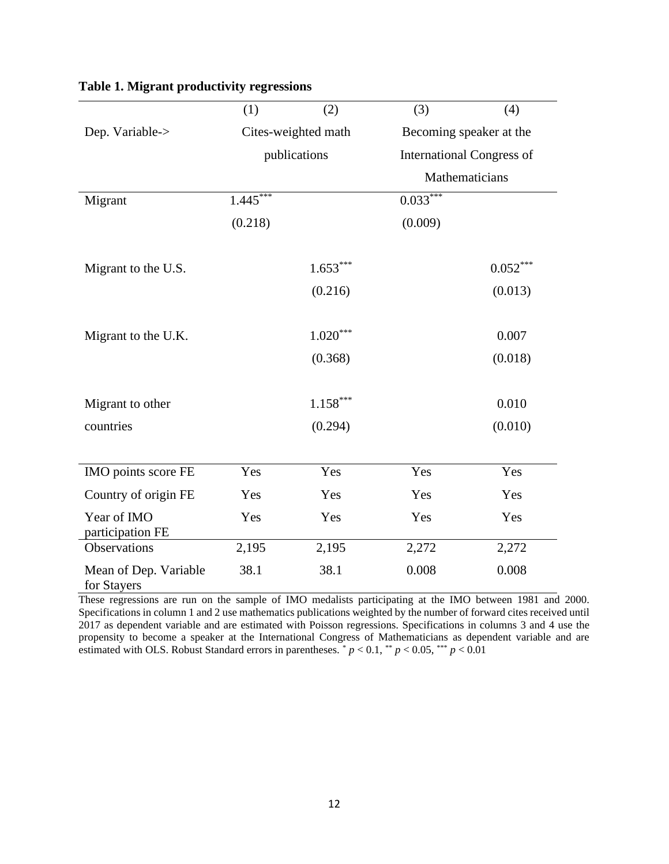|                                      | (1)        | (2)                    | (3)        | (4)                              |
|--------------------------------------|------------|------------------------|------------|----------------------------------|
| Dep. Variable->                      |            | Cites-weighted math    |            | Becoming speaker at the          |
|                                      |            | publications           |            | <b>International Congress of</b> |
|                                      |            |                        |            | Mathematicians                   |
| Migrant                              | $1.445***$ |                        | $0.033***$ |                                  |
|                                      | (0.218)    |                        | (0.009)    |                                  |
|                                      |            |                        |            |                                  |
| Migrant to the U.S.                  |            | $1.653***$             |            | $0.052***$                       |
|                                      |            | (0.216)                |            | (0.013)                          |
|                                      |            |                        |            |                                  |
| Migrant to the U.K.                  |            | $1.020^{\ast\ast\ast}$ |            | 0.007                            |
|                                      |            | (0.368)                |            | (0.018)                          |
|                                      |            |                        |            |                                  |
| Migrant to other                     |            | $1.158***$             |            | 0.010                            |
| countries                            |            | (0.294)                |            | (0.010)                          |
|                                      |            |                        |            |                                  |
| IMO points score FE                  | Yes        | Yes                    | Yes        | Yes                              |
| Country of origin FE                 | Yes        | Yes                    | Yes        | Yes                              |
| Year of IMO<br>participation FE      | Yes        | Yes                    | Yes        | Yes                              |
| Observations                         | 2,195      | 2,195                  | 2,272      | 2,272                            |
| Mean of Dep. Variable<br>for Stayers | 38.1       | 38.1                   | 0.008      | 0.008                            |

### **Table 1. Migrant productivity regressions**

These regressions are run on the sample of IMO medalists participating at the IMO between 1981 and 2000. Specifications in column 1 and 2 use mathematics publications weighted by the number of forward cites received until 2017 as dependent variable and are estimated with Poisson regressions. Specifications in columns 3 and 4 use the propensity to become a speaker at the International Congress of Mathematicians as dependent variable and are estimated with OLS. Robust Standard errors in parentheses.  $p < 0.1$ ,  $\sqrt[k]{p} < 0.05$ ,  $\sqrt[k]{p} < 0.01$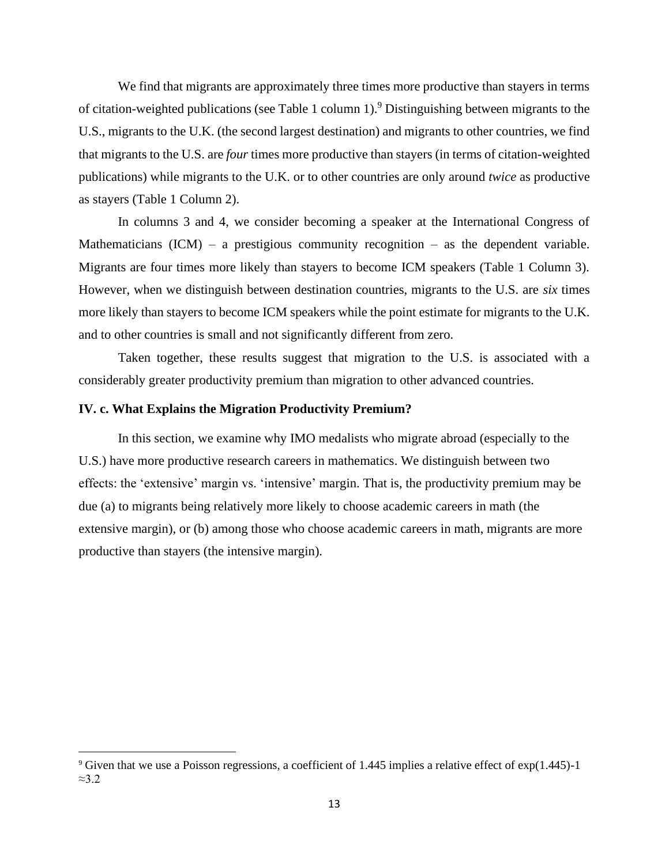We find that migrants are approximately three times more productive than stayers in terms of citation-weighted publications (see Table 1 column 1).<sup>9</sup> Distinguishing between migrants to the U.S., migrants to the U.K. (the second largest destination) and migrants to other countries, we find that migrants to the U.S. are *four* times more productive than stayers (in terms of citation-weighted publications) while migrants to the U.K. or to other countries are only around *twice* as productive as stayers (Table 1 Column 2).

In columns 3 and 4, we consider becoming a speaker at the International Congress of Mathematicians  $(ICM) - a$  prestigious community recognition – as the dependent variable. Migrants are four times more likely than stayers to become ICM speakers (Table 1 Column 3). However, when we distinguish between destination countries, migrants to the U.S. are *six* times more likely than stayers to become ICM speakers while the point estimate for migrants to the U.K. and to other countries is small and not significantly different from zero.

Taken together, these results suggest that migration to the U.S. is associated with a considerably greater productivity premium than migration to other advanced countries.

### **IV. c. What Explains the Migration Productivity Premium?**

In this section, we examine why IMO medalists who migrate abroad (especially to the U.S.) have more productive research careers in mathematics. We distinguish between two effects: the 'extensive' margin vs. 'intensive' margin. That is, the productivity premium may be due (a) to migrants being relatively more likely to choose academic careers in math (the extensive margin), or (b) among those who choose academic careers in math, migrants are more productive than stayers (the intensive margin).

<sup>9</sup> Given that we use a Poisson regressions, a coefficient of 1.445 implies a relative effect of exp(1.445)-1 ≈3.2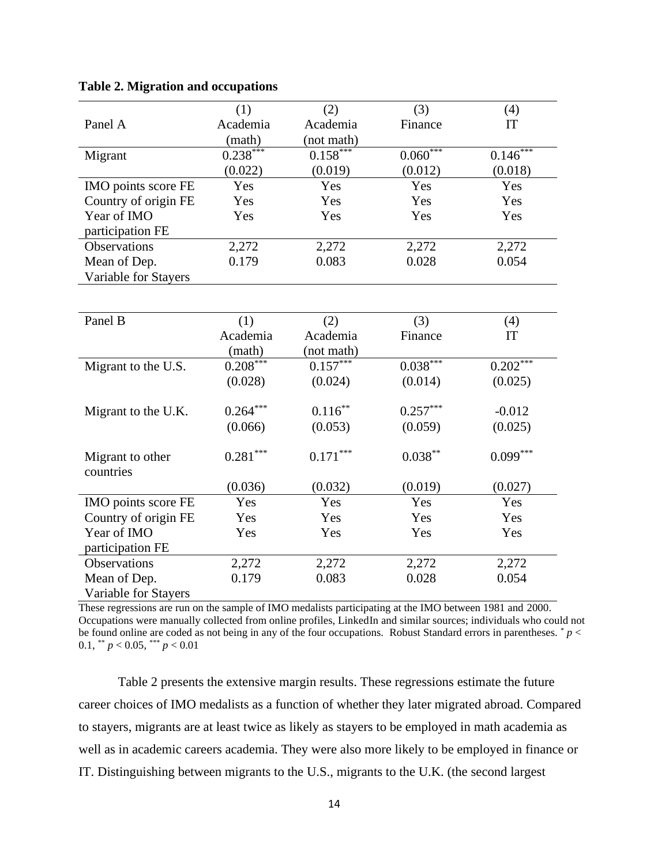|                      | (1)        | (2)        | (3)        | (4)        |
|----------------------|------------|------------|------------|------------|
| Panel A              | Academia   | Academia   | Finance    | IT         |
|                      | (math)     | (not math) |            |            |
| Migrant              | $0.238***$ | $0.158***$ | $0.060***$ | $0.146***$ |
|                      | (0.022)    | (0.019)    | (0.012)    | (0.018)    |
| IMO points score FE  | Yes        | Yes        | Yes        | Yes        |
| Country of origin FE | Yes        | Yes        | Yes        | Yes        |
| Year of IMO          | Yes        | Yes        | Yes        | Yes        |
| participation FE     |            |            |            |            |
| Observations         | 2,272      | 2,272      | 2,272      | 2,272      |
| Mean of Dep.         | 0.179      | 0.083      | 0.028      | 0.054      |
| Variable for Stayers |            |            |            |            |
|                      |            |            |            |            |
|                      |            |            |            |            |
| Panel B              | (1)        | (2)        | (3)        | (4)        |
|                      | Academia   | Academia   | Finance    | IT         |
|                      | (math)     | (not math) |            |            |
| Migrant to the U.S.  | $0.208***$ | $0.157***$ | $0.038***$ | $0.202***$ |
|                      | (0.028)    | (0.024)    | (0.014)    | (0.025)    |
|                      |            |            |            |            |
| Migrant to the U.K.  | $0.264***$ | $0.116***$ | $0.257***$ | $-0.012$   |
|                      | (0.066)    | (0.053)    | (0.059)    | (0.025)    |
|                      |            |            |            |            |
| Migrant to other     | $0.281***$ | $0.171***$ | $0.038***$ | $0.099***$ |
| countries            |            |            |            |            |
|                      | (0.036)    | (0.032)    | (0.019)    | (0.027)    |
| IMO points score FE  | Yes        | Yes        | Yes        | Yes        |
| Country of origin FE | Yes        | Yes        | Yes        | Yes        |
| Year of IMO          | Yes        | Yes        | Yes        | Yes        |
| participation FE     |            |            |            |            |
| Observations         | 2,272      | 2,272      | 2,272      | 2,272      |
| Mean of Dep.         | 0.179      | 0.083      | 0.028      | 0.054      |
| Variable for Stayers |            |            |            |            |

#### **Table 2. Migration and occupations**

These regressions are run on the sample of IMO medalists participating at the IMO between 1981 and 2000. Occupations were manually collected from online profiles, LinkedIn and similar sources; individuals who could not be found online are coded as not being in any of the four occupations. Robust Standard errors in parentheses. \* *p* < 0.1, \*\*  $p < 0.05$ , \*\*\*  $p < 0.01$ 

Table 2 presents the extensive margin results. These regressions estimate the future career choices of IMO medalists as a function of whether they later migrated abroad. Compared to stayers, migrants are at least twice as likely as stayers to be employed in math academia as well as in academic careers academia. They were also more likely to be employed in finance or IT. Distinguishing between migrants to the U.S., migrants to the U.K. (the second largest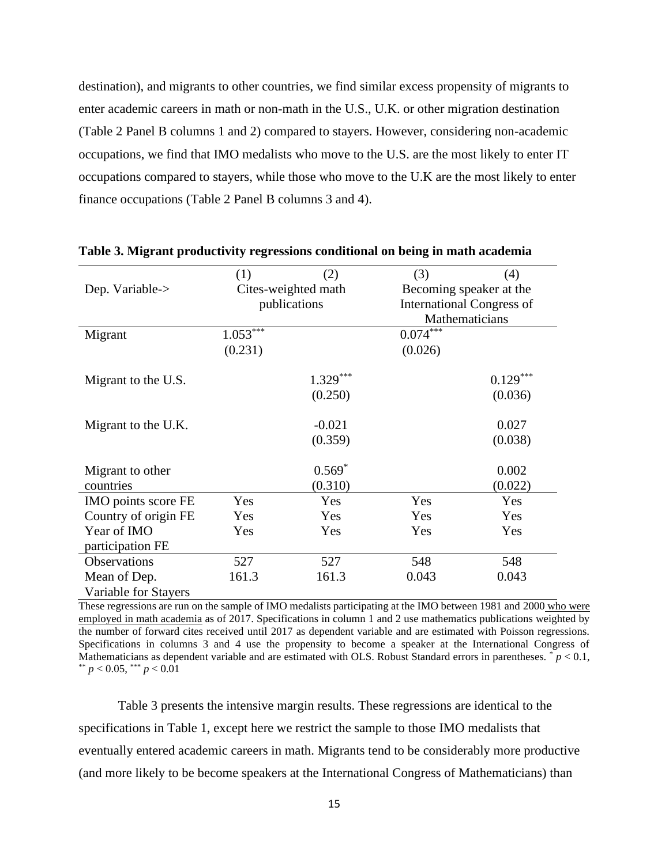destination), and migrants to other countries, we find similar excess propensity of migrants to enter academic careers in math or non-math in the U.S., U.K. or other migration destination (Table 2 Panel B columns 1 and 2) compared to stayers. However, considering non-academic occupations, we find that IMO medalists who move to the U.S. are the most likely to enter IT occupations compared to stayers, while those who move to the U.K are the most likely to enter finance occupations (Table 2 Panel B columns 3 and 4).

|                      | (1)        | (2)                 | (3)        | (4)                              |
|----------------------|------------|---------------------|------------|----------------------------------|
| Dep. Variable->      |            | Cites-weighted math |            | Becoming speaker at the          |
|                      |            | publications        |            | <b>International Congress of</b> |
|                      |            |                     |            | Mathematicians                   |
| Migrant              | $1.053***$ |                     | $0.074***$ |                                  |
|                      | (0.231)    |                     | (0.026)    |                                  |
| Migrant to the U.S.  |            | $1.329***$          |            | $0.129***$                       |
|                      |            | (0.250)             |            | (0.036)                          |
|                      |            |                     |            |                                  |
| Migrant to the U.K.  |            | $-0.021$            |            | 0.027                            |
|                      |            | (0.359)             |            | (0.038)                          |
| Migrant to other     |            | $0.569*$            |            | 0.002                            |
|                      |            |                     |            |                                  |
| countries            |            | (0.310)             |            | (0.022)                          |
| IMO points score FE  | Yes        | Yes                 | Yes        | Yes                              |
| Country of origin FE | Yes        | Yes                 | Yes        | Yes                              |
| Year of IMO          | Yes        | Yes                 | Yes        | Yes                              |
| participation FE     |            |                     |            |                                  |
| <b>Observations</b>  | 527        | 527                 | 548        | 548                              |
| Mean of Dep.         | 161.3      | 161.3               | 0.043      | 0.043                            |
| Variable for Stayers |            |                     |            |                                  |

**Table 3. Migrant productivity regressions conditional on being in math academia**

These regressions are run on the sample of IMO medalists participating at the IMO between 1981 and 2000 who were employed in math academia as of 2017. Specifications in column 1 and 2 use mathematics publications weighted by the number of forward cites received until 2017 as dependent variable and are estimated with Poisson regressions. Specifications in columns 3 and 4 use the propensity to become a speaker at the International Congress of Mathematicians as dependent variable and are estimated with OLS. Robust Standard errors in parentheses.  $\bar{p}$   $> 0.1$ ,  $p < 0.05$ , \*\*\*  $p < 0.01$ 

Table 3 presents the intensive margin results. These regressions are identical to the specifications in Table 1, except here we restrict the sample to those IMO medalists that eventually entered academic careers in math. Migrants tend to be considerably more productive (and more likely to be become speakers at the International Congress of Mathematicians) than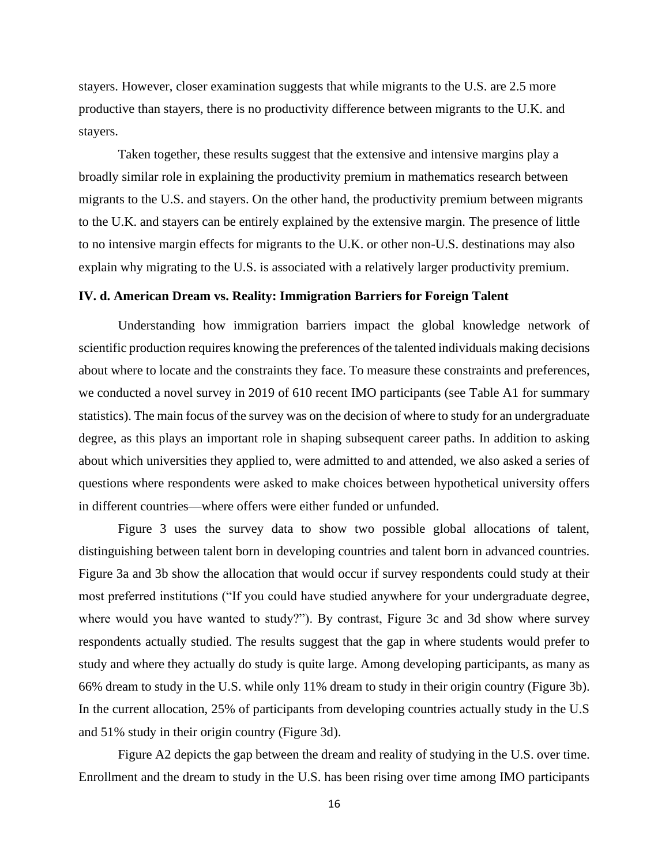stayers. However, closer examination suggests that while migrants to the U.S. are 2.5 more productive than stayers, there is no productivity difference between migrants to the U.K. and stayers.

Taken together, these results suggest that the extensive and intensive margins play a broadly similar role in explaining the productivity premium in mathematics research between migrants to the U.S. and stayers. On the other hand, the productivity premium between migrants to the U.K. and stayers can be entirely explained by the extensive margin. The presence of little to no intensive margin effects for migrants to the U.K. or other non-U.S. destinations may also explain why migrating to the U.S. is associated with a relatively larger productivity premium.

#### **IV. d. American Dream vs. Reality: Immigration Barriers for Foreign Talent**

Understanding how immigration barriers impact the global knowledge network of scientific production requires knowing the preferences of the talented individuals making decisions about where to locate and the constraints they face. To measure these constraints and preferences, we conducted a novel survey in 2019 of 610 recent IMO participants (see Table A1 for summary statistics). The main focus of the survey was on the decision of where to study for an undergraduate degree, as this plays an important role in shaping subsequent career paths. In addition to asking about which universities they applied to, were admitted to and attended, we also asked a series of questions where respondents were asked to make choices between hypothetical university offers in different countries—where offers were either funded or unfunded.

Figure 3 uses the survey data to show two possible global allocations of talent, distinguishing between talent born in developing countries and talent born in advanced countries. Figure 3a and 3b show the allocation that would occur if survey respondents could study at their most preferred institutions ("If you could have studied anywhere for your undergraduate degree, where would you have wanted to study?"). By contrast, Figure 3c and 3d show where survey respondents actually studied. The results suggest that the gap in where students would prefer to study and where they actually do study is quite large. Among developing participants, as many as 66% dream to study in the U.S. while only 11% dream to study in their origin country (Figure 3b). In the current allocation, 25% of participants from developing countries actually study in the U.S and 51% study in their origin country (Figure 3d).

Figure A2 depicts the gap between the dream and reality of studying in the U.S. over time. Enrollment and the dream to study in the U.S. has been rising over time among IMO participants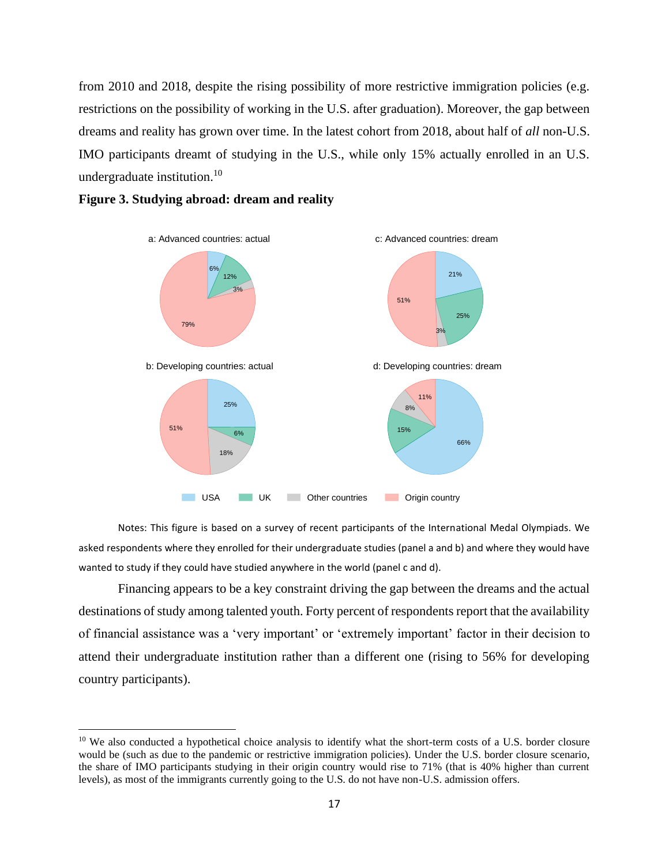from 2010 and 2018, despite the rising possibility of more restrictive immigration policies (e.g. restrictions on the possibility of working in the U.S. after graduation). Moreover, the gap between dreams and reality has grown over time. In the latest cohort from 2018, about half of *all* non-U.S. IMO participants dreamt of studying in the U.S., while only 15% actually enrolled in an U.S. undergraduate institution. $10$ 





Notes: This figure is based on a survey of recent participants of the International Medal Olympiads. We asked respondents where they enrolled for their undergraduate studies (panel a and b) and where they would have wanted to study if they could have studied anywhere in the world (panel c and d).

Financing appears to be a key constraint driving the gap between the dreams and the actual destinations of study among talented youth. Forty percent of respondents report that the availability of financial assistance was a 'very important' or 'extremely important' factor in their decision to attend their undergraduate institution rather than a different one (rising to 56% for developing country participants).

 $10$  We also conducted a hypothetical choice analysis to identify what the short-term costs of a U.S. border closure would be (such as due to the pandemic or restrictive immigration policies). Under the U.S. border closure scenario, the share of IMO participants studying in their origin country would rise to 71% (that is 40% higher than current levels), as most of the immigrants currently going to the U.S. do not have non-U.S. admission offers.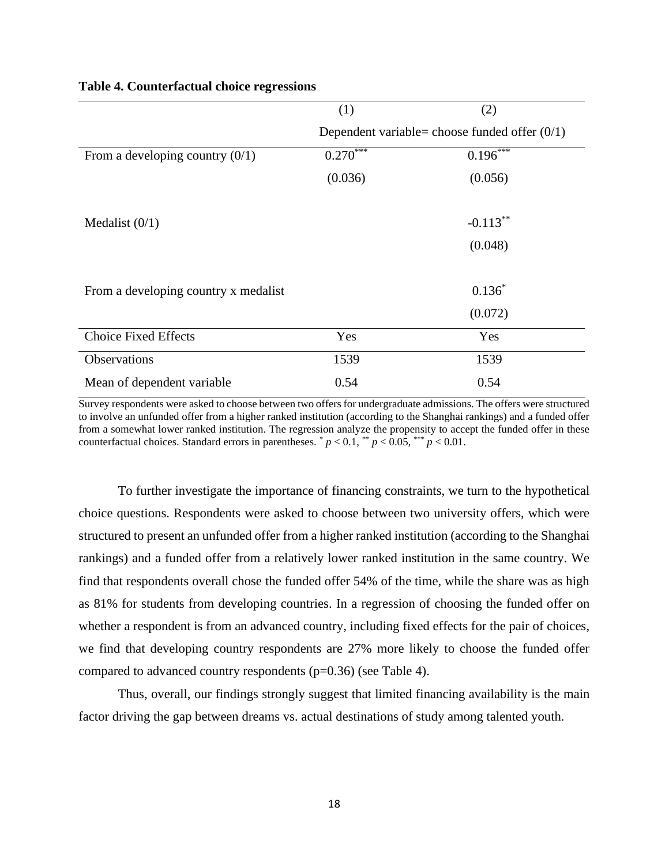|                                      | (1)        | (2)                                             |
|--------------------------------------|------------|-------------------------------------------------|
|                                      |            | Dependent variable= choose funded offer $(0/1)$ |
| From a developing country $(0/1)$    | $0.270***$ | $0.196***$                                      |
|                                      | (0.036)    | (0.056)                                         |
|                                      |            |                                                 |
| Medalist $(0/1)$                     |            | $-0.113***$                                     |
|                                      |            | (0.048)                                         |
|                                      |            |                                                 |
| From a developing country x medalist |            | $0.136*$                                        |
|                                      |            | (0.072)                                         |
| <b>Choice Fixed Effects</b>          | Yes        | Yes                                             |
| Observations                         | 1539       | 1539                                            |
| Mean of dependent variable           | 0.54       | 0.54                                            |

### **Table 4. Counterfactual choice regressions**

Survey respondents were asked to choose between two offers for undergraduate admissions. The offers were structured to involve an unfunded offer from a higher ranked institution (according to the Shanghai rankings) and a funded offer from a somewhat lower ranked institution. The regression analyze the propensity to accept the funded offer in these counterfactual choices. Standard errors in parentheses.  $p < 0.1$ ,  $p < 0.05$ ,  $p < 0.01$ .

To further investigate the importance of financing constraints, we turn to the hypothetical choice questions. Respondents were asked to choose between two university offers, which were structured to present an unfunded offer from a higher ranked institution (according to the Shanghai rankings) and a funded offer from a relatively lower ranked institution in the same country. We find that respondents overall chose the funded offer 54% of the time, while the share was as high as 81% for students from developing countries. In a regression of choosing the funded offer on whether a respondent is from an advanced country, including fixed effects for the pair of choices, we find that developing country respondents are 27% more likely to choose the funded offer compared to advanced country respondents (p=0.36) (see Table 4).

Thus, overall, our findings strongly suggest that limited financing availability is the main factor driving the gap between dreams vs. actual destinations of study among talented youth.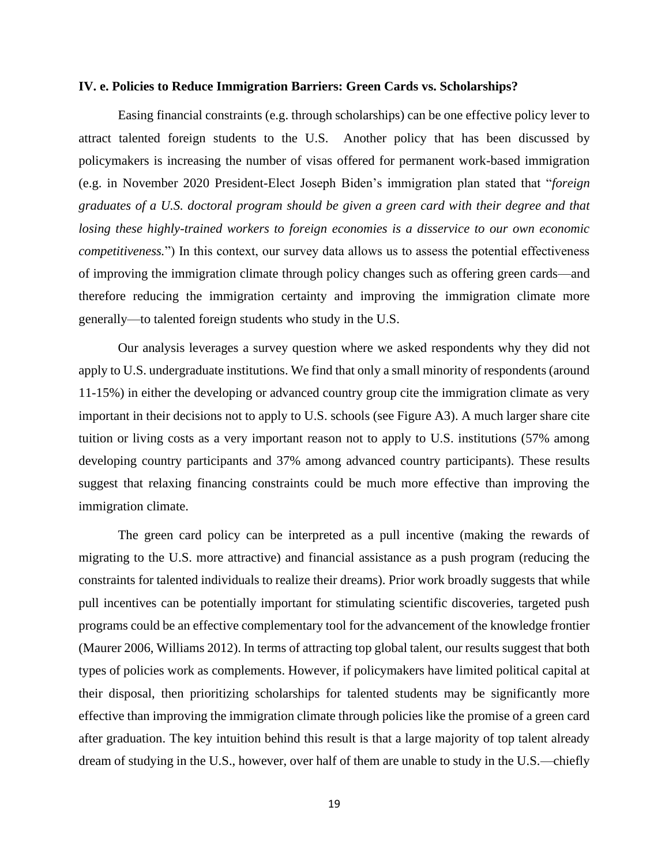### **IV. e. Policies to Reduce Immigration Barriers: Green Cards vs. Scholarships?**

Easing financial constraints (e.g. through scholarships) can be one effective policy lever to attract talented foreign students to the U.S. Another policy that has been discussed by policymakers is increasing the number of visas offered for permanent work-based immigration (e.g. in November 2020 President-Elect Joseph Biden's immigration plan stated that "*foreign graduates of a U.S. doctoral program should be given a green card with their degree and that losing these highly-trained workers to foreign economies is a disservice to our own economic competitiveness.*") In this context, our survey data allows us to assess the potential effectiveness of improving the immigration climate through policy changes such as offering green cards—and therefore reducing the immigration certainty and improving the immigration climate more generally—to talented foreign students who study in the U.S.

Our analysis leverages a survey question where we asked respondents why they did not apply to U.S. undergraduate institutions. We find that only a small minority of respondents (around 11-15%) in either the developing or advanced country group cite the immigration climate as very important in their decisions not to apply to U.S. schools (see Figure A3). A much larger share cite tuition or living costs as a very important reason not to apply to U.S. institutions (57% among developing country participants and 37% among advanced country participants). These results suggest that relaxing financing constraints could be much more effective than improving the immigration climate.

The green card policy can be interpreted as a pull incentive (making the rewards of migrating to the U.S. more attractive) and financial assistance as a push program (reducing the constraints for talented individuals to realize their dreams). Prior work broadly suggests that while pull incentives can be potentially important for stimulating scientific discoveries, targeted push programs could be an effective complementary tool for the advancement of the knowledge frontier (Maurer 2006, Williams 2012). In terms of attracting top global talent, our results suggest that both types of policies work as complements. However, if policymakers have limited political capital at their disposal, then prioritizing scholarships for talented students may be significantly more effective than improving the immigration climate through policies like the promise of a green card after graduation. The key intuition behind this result is that a large majority of top talent already dream of studying in the U.S., however, over half of them are unable to study in the U.S.—chiefly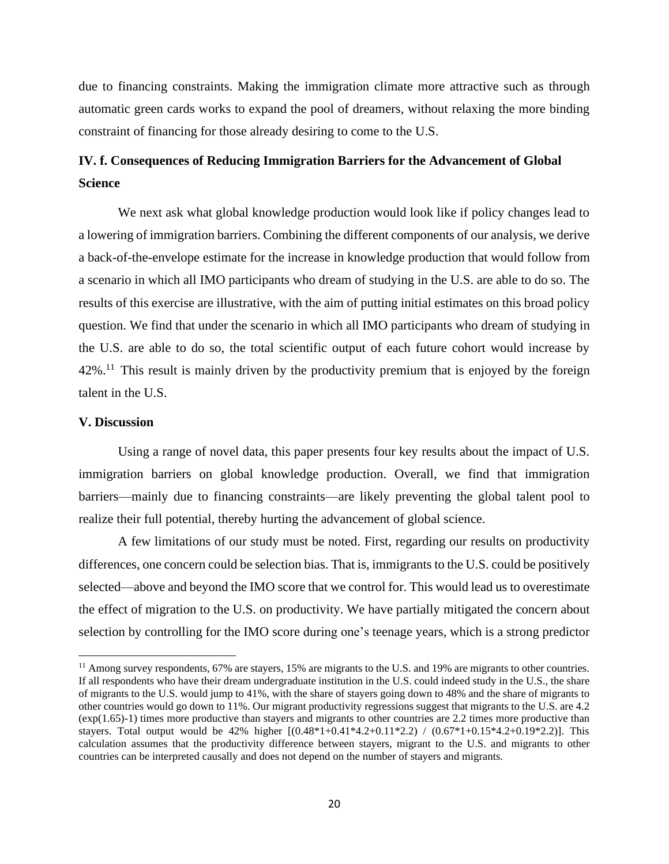due to financing constraints. Making the immigration climate more attractive such as through automatic green cards works to expand the pool of dreamers, without relaxing the more binding constraint of financing for those already desiring to come to the U.S.

## **IV. f. Consequences of Reducing Immigration Barriers for the Advancement of Global Science**

We next ask what global knowledge production would look like if policy changes lead to a lowering of immigration barriers. Combining the different components of our analysis, we derive a back-of-the-envelope estimate for the increase in knowledge production that would follow from a scenario in which all IMO participants who dream of studying in the U.S. are able to do so. The results of this exercise are illustrative, with the aim of putting initial estimates on this broad policy question. We find that under the scenario in which all IMO participants who dream of studying in the U.S. are able to do so, the total scientific output of each future cohort would increase by  $42\%$ <sup>11</sup>. This result is mainly driven by the productivity premium that is enjoyed by the foreign talent in the U.S.

### **V. Discussion**

Using a range of novel data, this paper presents four key results about the impact of U.S. immigration barriers on global knowledge production. Overall, we find that immigration barriers—mainly due to financing constraints—are likely preventing the global talent pool to realize their full potential, thereby hurting the advancement of global science.

A few limitations of our study must be noted. First, regarding our results on productivity differences, one concern could be selection bias. That is, immigrants to the U.S. could be positively selected—above and beyond the IMO score that we control for. This would lead us to overestimate the effect of migration to the U.S. on productivity. We have partially mitigated the concern about selection by controlling for the IMO score during one's teenage years, which is a strong predictor

<sup>&</sup>lt;sup>11</sup> Among survey respondents, 67% are stayers, 15% are migrants to the U.S. and 19% are migrants to other countries. If all respondents who have their dream undergraduate institution in the U.S. could indeed study in the U.S., the share of migrants to the U.S. would jump to 41%, with the share of stayers going down to 48% and the share of migrants to other countries would go down to 11%. Our migrant productivity regressions suggest that migrants to the U.S. are 4.2 (exp(1.65)-1) times more productive than stayers and migrants to other countries are 2.2 times more productive than stayers. Total output would be 42% higher  $[(0.48*1+0.41*4.2+0.11*2.2) / (0.67*1+0.15*4.2+0.19*2.2)]$ . This calculation assumes that the productivity difference between stayers, migrant to the U.S. and migrants to other countries can be interpreted causally and does not depend on the number of stayers and migrants.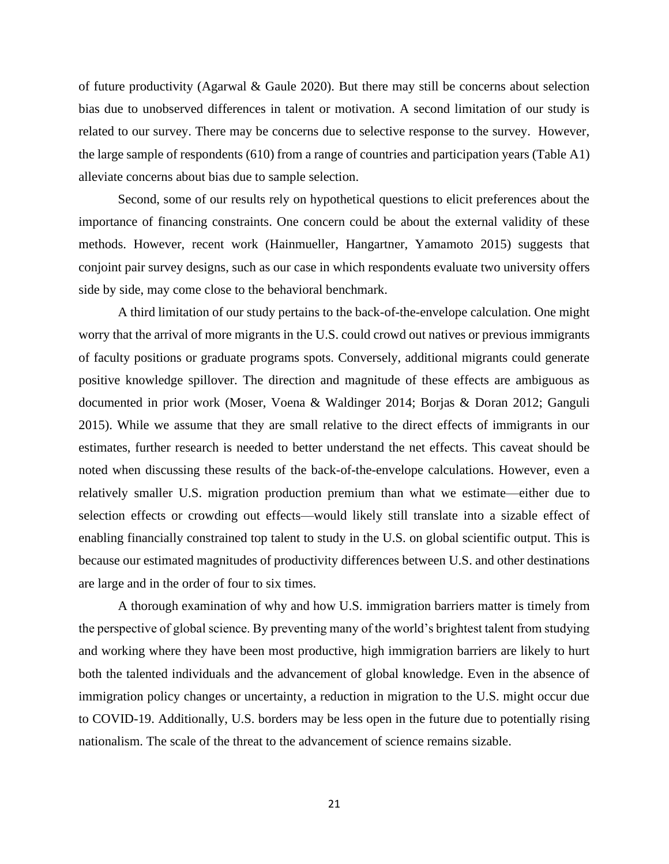of future productivity (Agarwal & Gaule 2020). But there may still be concerns about selection bias due to unobserved differences in talent or motivation. A second limitation of our study is related to our survey. There may be concerns due to selective response to the survey. However, the large sample of respondents (610) from a range of countries and participation years (Table A1) alleviate concerns about bias due to sample selection.

Second, some of our results rely on hypothetical questions to elicit preferences about the importance of financing constraints. One concern could be about the external validity of these methods. However, recent work (Hainmueller, Hangartner, Yamamoto 2015) suggests that conjoint pair survey designs, such as our case in which respondents evaluate two university offers side by side, may come close to the behavioral benchmark.

A third limitation of our study pertains to the back-of-the-envelope calculation. One might worry that the arrival of more migrants in the U.S. could crowd out natives or previous immigrants of faculty positions or graduate programs spots. Conversely, additional migrants could generate positive knowledge spillover. The direction and magnitude of these effects are ambiguous as documented in prior work (Moser, Voena & Waldinger 2014; Borjas & Doran 2012; Ganguli 2015). While we assume that they are small relative to the direct effects of immigrants in our estimates, further research is needed to better understand the net effects. This caveat should be noted when discussing these results of the back-of-the-envelope calculations. However, even a relatively smaller U.S. migration production premium than what we estimate—either due to selection effects or crowding out effects—would likely still translate into a sizable effect of enabling financially constrained top talent to study in the U.S. on global scientific output. This is because our estimated magnitudes of productivity differences between U.S. and other destinations are large and in the order of four to six times.

A thorough examination of why and how U.S. immigration barriers matter is timely from the perspective of global science. By preventing many of the world's brightest talent from studying and working where they have been most productive, high immigration barriers are likely to hurt both the talented individuals and the advancement of global knowledge. Even in the absence of immigration policy changes or uncertainty, a reduction in migration to the U.S. might occur due to COVID-19. Additionally, U.S. borders may be less open in the future due to potentially rising nationalism. The scale of the threat to the advancement of science remains sizable.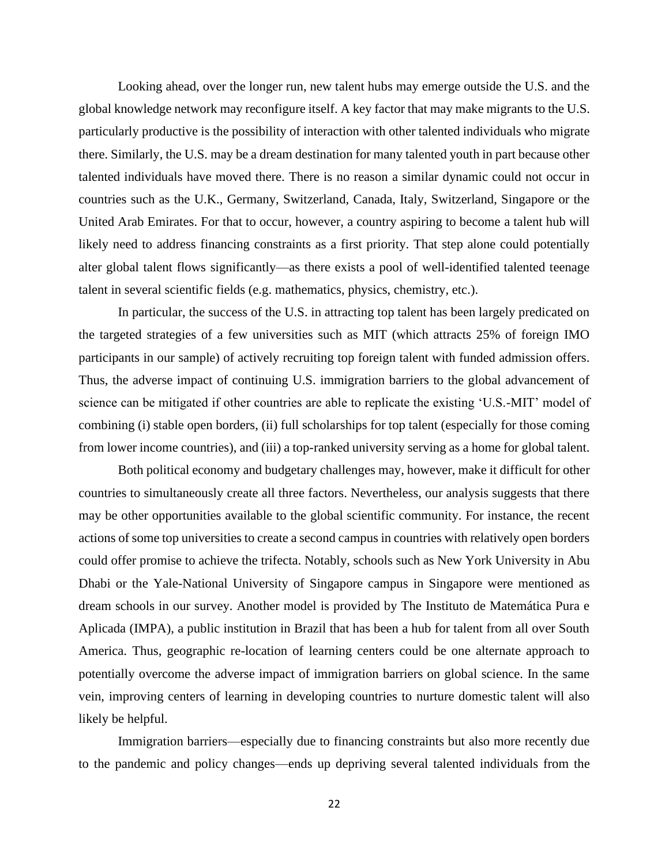Looking ahead, over the longer run, new talent hubs may emerge outside the U.S. and the global knowledge network may reconfigure itself. A key factor that may make migrants to the U.S. particularly productive is the possibility of interaction with other talented individuals who migrate there. Similarly, the U.S. may be a dream destination for many talented youth in part because other talented individuals have moved there. There is no reason a similar dynamic could not occur in countries such as the U.K., Germany, Switzerland, Canada, Italy, Switzerland, Singapore or the United Arab Emirates. For that to occur, however, a country aspiring to become a talent hub will likely need to address financing constraints as a first priority. That step alone could potentially alter global talent flows significantly—as there exists a pool of well-identified talented teenage talent in several scientific fields (e.g. mathematics, physics, chemistry, etc.).

In particular, the success of the U.S. in attracting top talent has been largely predicated on the targeted strategies of a few universities such as MIT (which attracts 25% of foreign IMO participants in our sample) of actively recruiting top foreign talent with funded admission offers. Thus, the adverse impact of continuing U.S. immigration barriers to the global advancement of science can be mitigated if other countries are able to replicate the existing 'U.S.-MIT' model of combining (i) stable open borders, (ii) full scholarships for top talent (especially for those coming from lower income countries), and (iii) a top-ranked university serving as a home for global talent.

Both political economy and budgetary challenges may, however, make it difficult for other countries to simultaneously create all three factors. Nevertheless, our analysis suggests that there may be other opportunities available to the global scientific community. For instance, the recent actions of some top universities to create a second campus in countries with relatively open borders could offer promise to achieve the trifecta. Notably, schools such as New York University in Abu Dhabi or the Yale-National University of Singapore campus in Singapore were mentioned as dream schools in our survey. Another model is provided by The Instituto de Matemática Pura e Aplicada (IMPA), a public institution in Brazil that has been a hub for talent from all over South America. Thus, geographic re-location of learning centers could be one alternate approach to potentially overcome the adverse impact of immigration barriers on global science. In the same vein, improving centers of learning in developing countries to nurture domestic talent will also likely be helpful.

Immigration barriers—especially due to financing constraints but also more recently due to the pandemic and policy changes—ends up depriving several talented individuals from the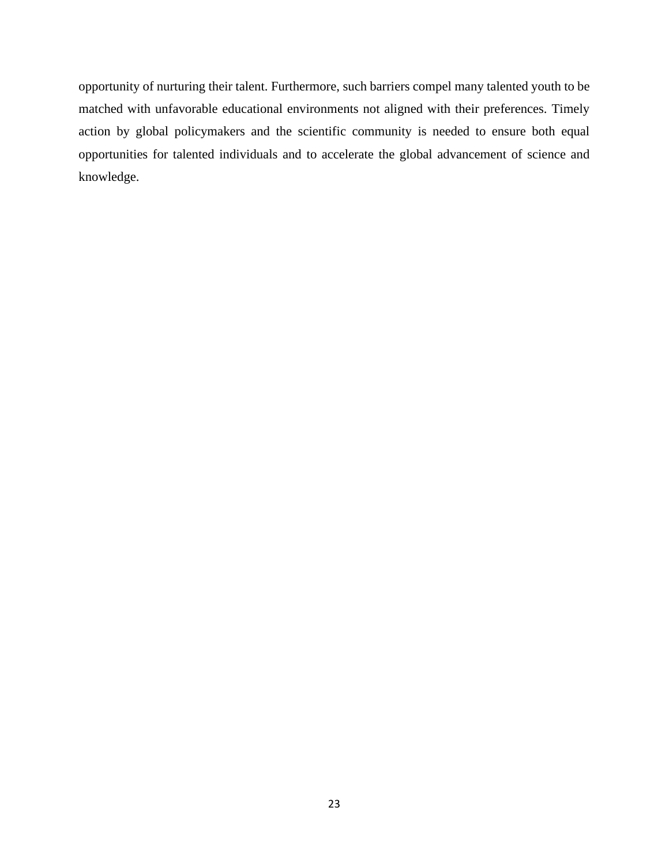opportunity of nurturing their talent. Furthermore, such barriers compel many talented youth to be matched with unfavorable educational environments not aligned with their preferences. Timely action by global policymakers and the scientific community is needed to ensure both equal opportunities for talented individuals and to accelerate the global advancement of science and knowledge.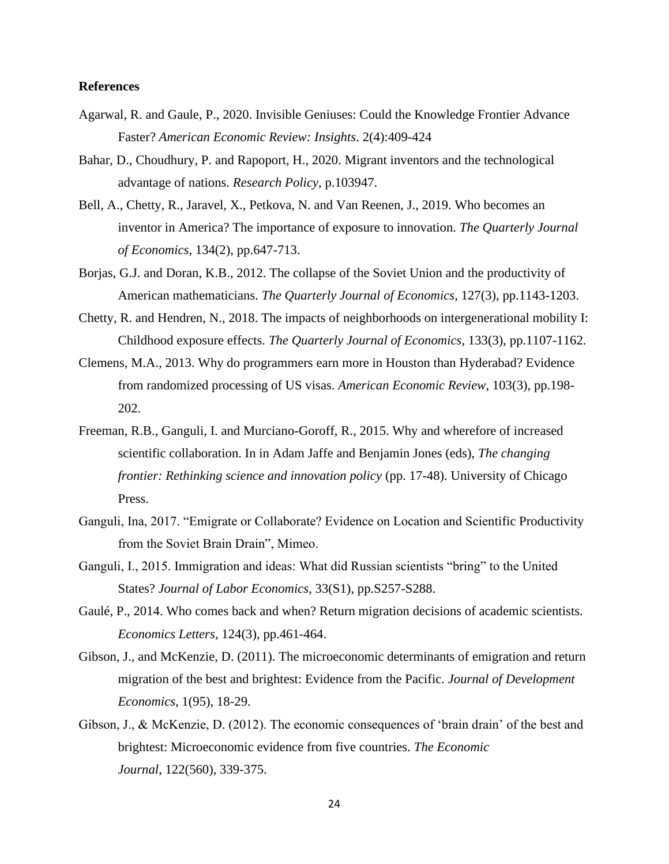### **References**

- Agarwal, R. and Gaule, P., 2020. Invisible Geniuses: Could the Knowledge Frontier Advance Faster? *American Economic Review: Insights*. 2(4):409-424
- Bahar, D., Choudhury, P. and Rapoport, H., 2020. Migrant inventors and the technological advantage of nations. *Research Policy*, p.103947.
- Bell, A., Chetty, R., Jaravel, X., Petkova, N. and Van Reenen, J., 2019. Who becomes an inventor in America? The importance of exposure to innovation. *The Quarterly Journal of Economics*, 134(2), pp.647-713.
- Borjas, G.J. and Doran, K.B., 2012. The collapse of the Soviet Union and the productivity of American mathematicians. *The Quarterly Journal of Economics*, 127(3), pp.1143-1203.
- Chetty, R. and Hendren, N., 2018. The impacts of neighborhoods on intergenerational mobility I: Childhood exposure effects. *The Quarterly Journal of Economics*, 133(3), pp.1107-1162.
- Clemens, M.A., 2013. Why do programmers earn more in Houston than Hyderabad? Evidence from randomized processing of US visas. *American Economic Review*, 103(3), pp.198- 202.
- Freeman, R.B., Ganguli, I. and Murciano-Goroff, R., 2015. Why and wherefore of increased scientific collaboration. In in Adam Jaffe and Benjamin Jones (eds), *The changing frontier: Rethinking science and innovation policy* (pp. 17-48). University of Chicago Press.
- Ganguli, Ina, 2017. "Emigrate or Collaborate? Evidence on Location and Scientific Productivity from the Soviet Brain Drain", Mimeo.
- Ganguli, I., 2015. Immigration and ideas: What did Russian scientists "bring" to the United States? *Journal of Labor Economics*, 33(S1), pp.S257-S288.
- Gaulé, P., 2014. Who comes back and when? Return migration decisions of academic scientists. *Economics Letters*, 124(3), pp.461-464.
- Gibson, J., and McKenzie, D. (2011). The microeconomic determinants of emigration and return migration of the best and brightest: Evidence from the Pacific. *Journal of Development Economics*, 1(95), 18-29.
- Gibson, J., & McKenzie, D. (2012). The economic consequences of 'brain drain' of the best and brightest: Microeconomic evidence from five countries. *The Economic Journal*, 122(560), 339-375.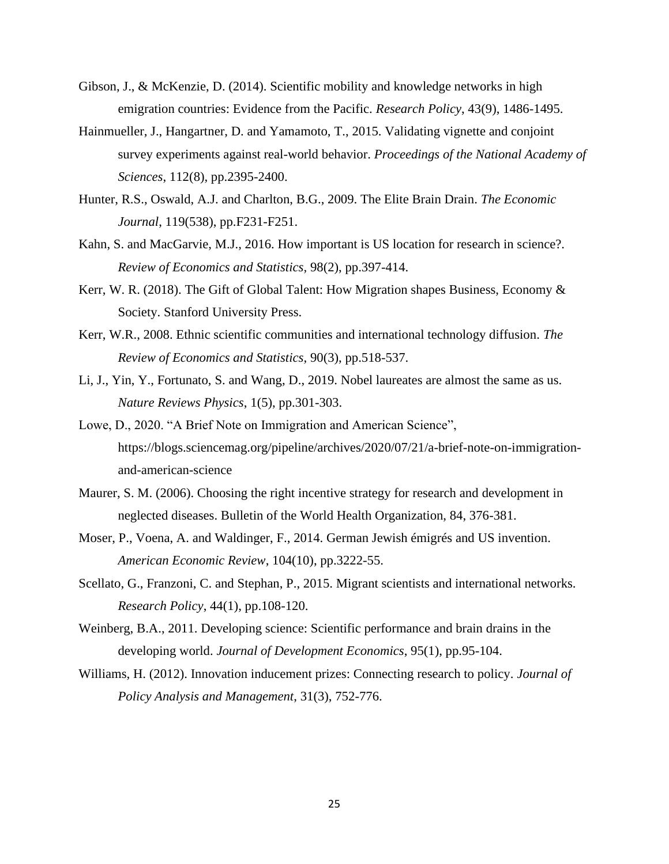- Gibson, J., & McKenzie, D. (2014). Scientific mobility and knowledge networks in high emigration countries: Evidence from the Pacific. *Research Policy*, 43(9), 1486-1495.
- Hainmueller, J., Hangartner, D. and Yamamoto, T., 2015. Validating vignette and conjoint survey experiments against real-world behavior. *Proceedings of the National Academy of Sciences*, 112(8), pp.2395-2400.
- Hunter, R.S., Oswald, A.J. and Charlton, B.G., 2009. The Elite Brain Drain. *The Economic Journal*, 119(538), pp.F231-F251.
- Kahn, S. and MacGarvie, M.J., 2016. How important is US location for research in science?. *Review of Economics and Statistics*, 98(2), pp.397-414.
- Kerr, W. R. (2018). The Gift of Global Talent: How Migration shapes Business, Economy & Society. Stanford University Press.
- Kerr, W.R., 2008. Ethnic scientific communities and international technology diffusion. *The Review of Economics and Statistics*, 90(3), pp.518-537.
- Li, J., Yin, Y., Fortunato, S. and Wang, D., 2019. Nobel laureates are almost the same as us. *Nature Reviews Physics*, 1(5), pp.301-303.
- Lowe, D., 2020. "A Brief Note on Immigration and American Science", https://blogs.sciencemag.org/pipeline/archives/2020/07/21/a-brief-note-on-immigrationand-american-science
- Maurer, S. M. (2006). Choosing the right incentive strategy for research and development in neglected diseases. Bulletin of the World Health Organization, 84, 376-381.
- Moser, P., Voena, A. and Waldinger, F., 2014. German Jewish émigrés and US invention. *American Economic Review*, 104(10), pp.3222-55.
- Scellato, G., Franzoni, C. and Stephan, P., 2015. Migrant scientists and international networks. *Research Policy*, 44(1), pp.108-120.
- Weinberg, B.A., 2011. Developing science: Scientific performance and brain drains in the developing world. *Journal of Development Economics*, 95(1), pp.95-104.
- Williams, H. (2012). Innovation inducement prizes: Connecting research to policy. *Journal of Policy Analysis and Management*, 31(3), 752-776.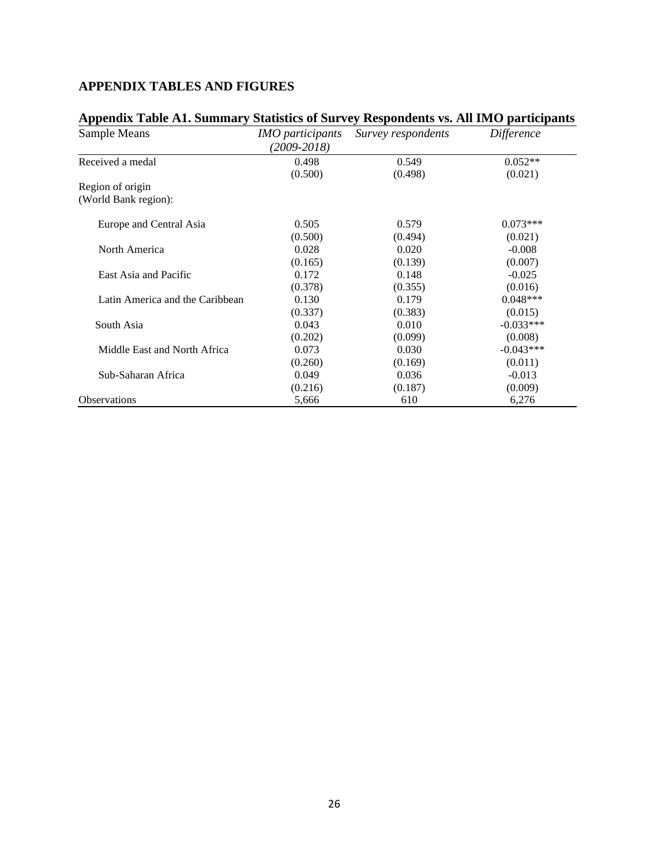### **APPENDIX TABLES AND FIGURES**

| Appendix Table AT. Summary Statistics of Survey Respondents vs. All timO participants |                                            |                    |                   |  |
|---------------------------------------------------------------------------------------|--------------------------------------------|--------------------|-------------------|--|
| Sample Means                                                                          | <i>IMO participants</i><br>$(2009 - 2018)$ | Survey respondents | <i>Difference</i> |  |
| Received a medal                                                                      | 0.498                                      | 0.549              | $0.052**$         |  |
|                                                                                       | (0.500)                                    | (0.498)            | (0.021)           |  |
| Region of origin                                                                      |                                            |                    |                   |  |
| (World Bank region):                                                                  |                                            |                    |                   |  |
| Europe and Central Asia                                                               | 0.505                                      | 0.579              | $0.073***$        |  |
|                                                                                       | (0.500)                                    | (0.494)            | (0.021)           |  |
| North America                                                                         | 0.028                                      | 0.020              | $-0.008$          |  |
|                                                                                       | (0.165)                                    | (0.139)            | (0.007)           |  |
| East Asia and Pacific                                                                 | 0.172                                      | 0.148              | $-0.025$          |  |
|                                                                                       | (0.378)                                    | (0.355)            | (0.016)           |  |
| Latin America and the Caribbean                                                       | 0.130                                      | 0.179              | $0.048***$        |  |
|                                                                                       | (0.337)                                    | (0.383)            | (0.015)           |  |
| South Asia                                                                            | 0.043                                      | 0.010              | $-0.033***$       |  |
|                                                                                       | (0.202)                                    | (0.099)            | (0.008)           |  |
| Middle East and North Africa                                                          | 0.073                                      | 0.030              | $-0.043***$       |  |
|                                                                                       | (0.260)                                    | (0.169)            | (0.011)           |  |
| Sub-Saharan Africa                                                                    | 0.049                                      | 0.036              | $-0.013$          |  |
|                                                                                       | (0.216)                                    | (0.187)            | (0.009)           |  |
| <b>Observations</b>                                                                   | 5,666                                      | 610                | 6,276             |  |

## **Appendix Table A1. Summary Statistics of Survey Respondents vs. All IMO participants**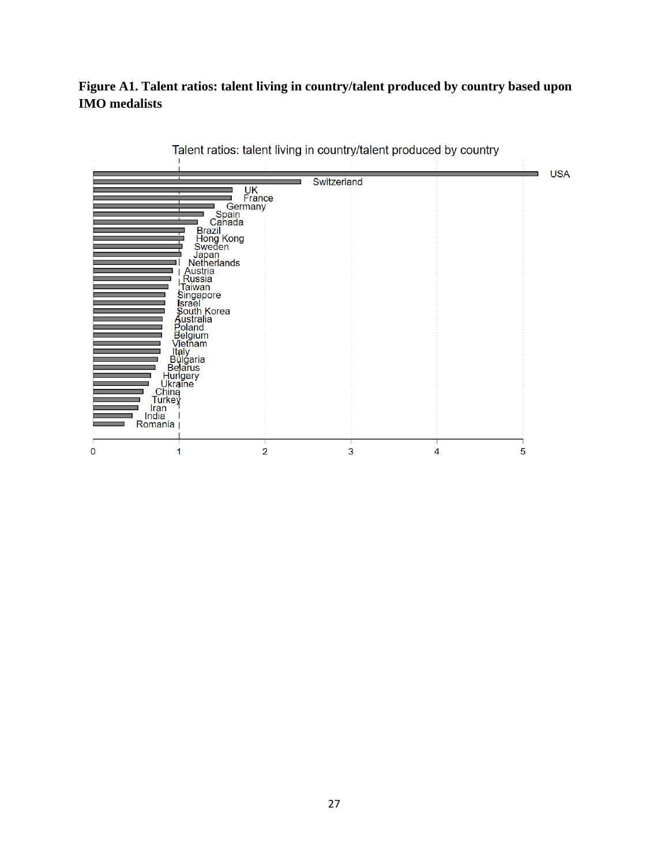### **Figure A1. Talent ratios: talent living in country/talent produced by country based upon IMO medalists**

| Vieniani<br>  Italy<br>Bulgaria<br>Belarus<br>Hurkey<br>China<br>Turkey<br>Iran<br>Iran<br>Iran<br>India<br>Romania | UK<br>France<br>Germany<br>Spain<br>Canada<br>Brazil<br>Hong Kong<br>Sweden<br>Japan<br><b>Netherlands</b><br>Austria<br>Russia<br>Taiwan<br>Haiwan<br>Singapore<br>Scuth Korea<br>Australia<br>Poland<br>Melgium<br>Melvi<br>Melvi | Switzerland |   | <b>USA</b> |
|---------------------------------------------------------------------------------------------------------------------|-------------------------------------------------------------------------------------------------------------------------------------------------------------------------------------------------------------------------------------|-------------|---|------------|
| 0                                                                                                                   | 2                                                                                                                                                                                                                                   | 3           | 4 | 5          |

Talent ratios: talent living in country/talent produced by country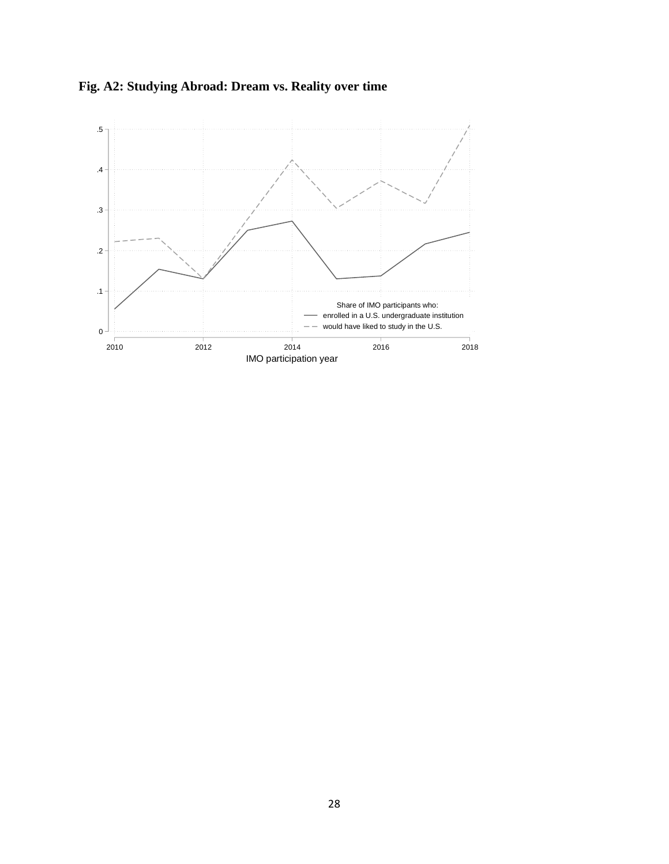

**Fig. A2: Studying Abroad: Dream vs. Reality over time**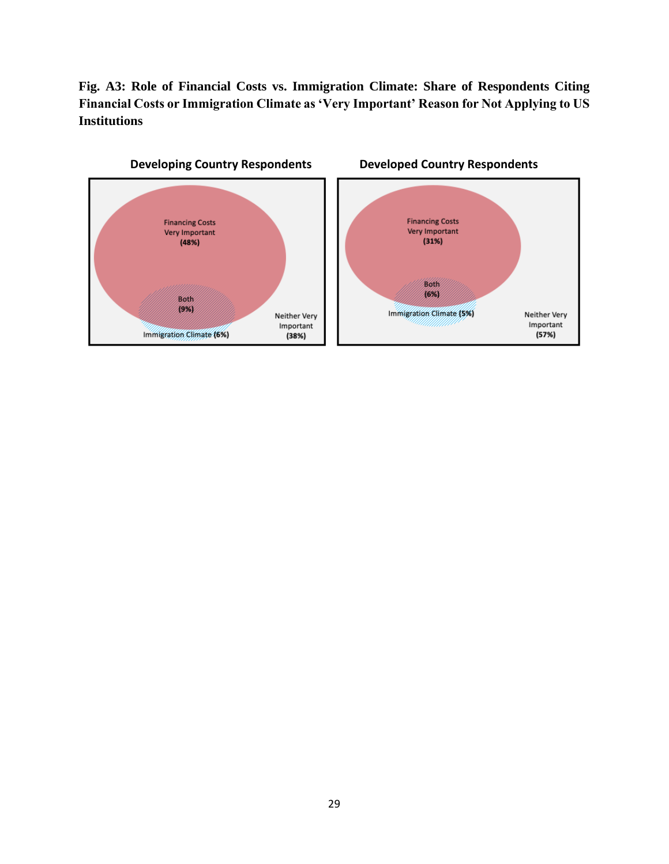**Fig. A3: Role of Financial Costs vs. Immigration Climate: Share of Respondents Citing Financial Costs or Immigration Climate as 'Very Important' Reason for Not Applying to US Institutions**

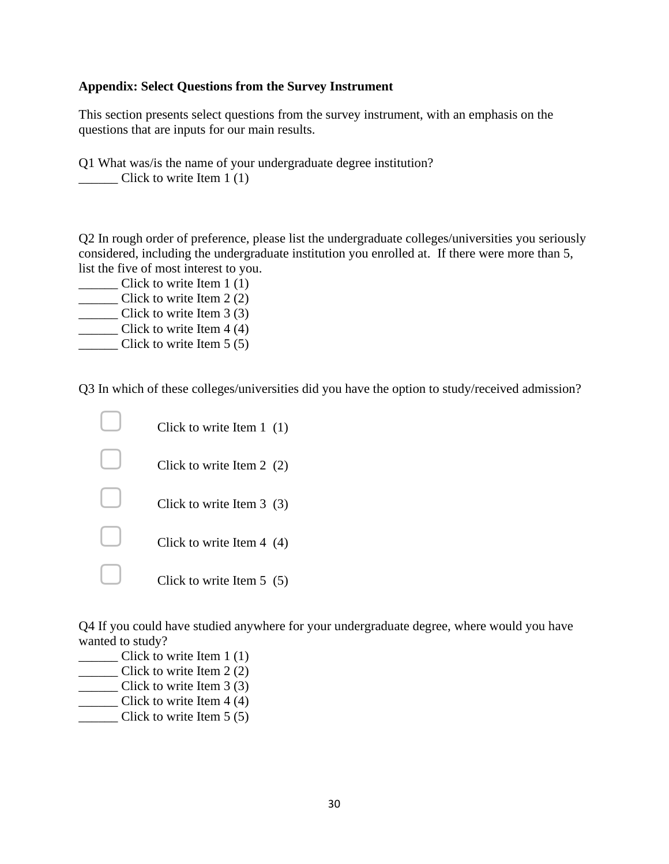### **Appendix: Select Questions from the Survey Instrument**

This section presents select questions from the survey instrument, with an emphasis on the questions that are inputs for our main results.

Q1 What was/is the name of your undergraduate degree institution? \_\_\_\_\_\_ Click to write Item 1 (1)

Q2 In rough order of preference, please list the undergraduate colleges/universities you seriously considered, including the undergraduate institution you enrolled at. If there were more than 5, list the five of most interest to you.

- \_\_\_\_\_\_ Click to write Item 1 (1)
- \_\_\_\_\_\_ Click to write Item 2 (2)
- \_\_\_\_\_\_ Click to write Item 3 (3)
- \_\_\_\_\_\_ Click to write Item 4 (4) Click to write Item  $5(5)$

Q3 In which of these colleges/universities did you have the option to study/received admission?

| Click to write Item $1(1)$ |
|----------------------------|
| Click to write Item $2(2)$ |
| Click to write Item $3(3)$ |
| Click to write Item $4(4)$ |
| Click to write Item $5(5)$ |

Q4 If you could have studied anywhere for your undergraduate degree, where would you have wanted to study?

- \_\_\_\_\_\_ Click to write Item 1 (1)
- \_\_\_\_\_\_ Click to write Item 2 (2)
- \_\_\_\_\_\_ Click to write Item 3 (3)
- $\frac{1}{\sqrt{1-\frac{1}{\sqrt{1-\frac{1}{\sqrt{1-\frac{1}{\sqrt{1-\frac{1}{\sqrt{1-\frac{1}{\sqrt{1-\frac{1}{\sqrt{1-\frac{1}{\sqrt{1-\frac{1}{\sqrt{1-\frac{1}{\sqrt{1-\frac{1}{\sqrt{1-\frac{1}{\sqrt{1-\frac{1}{\sqrt{1-\frac{1}{\sqrt{1-\frac{1}{\sqrt{1-\frac{1}{\sqrt{1-\frac{1}{\sqrt{1-\frac{1}{\sqrt{1-\frac{1}{\sqrt{1-\frac{1}{\sqrt{1-\frac{1}{\sqrt{1-\frac{1}{\sqrt{1-\frac{1}{\sqrt{1-\frac{1}{\sqrt{1-\frac{1$
- $\frac{\ }{\ }$  Click to write Item 5 (5)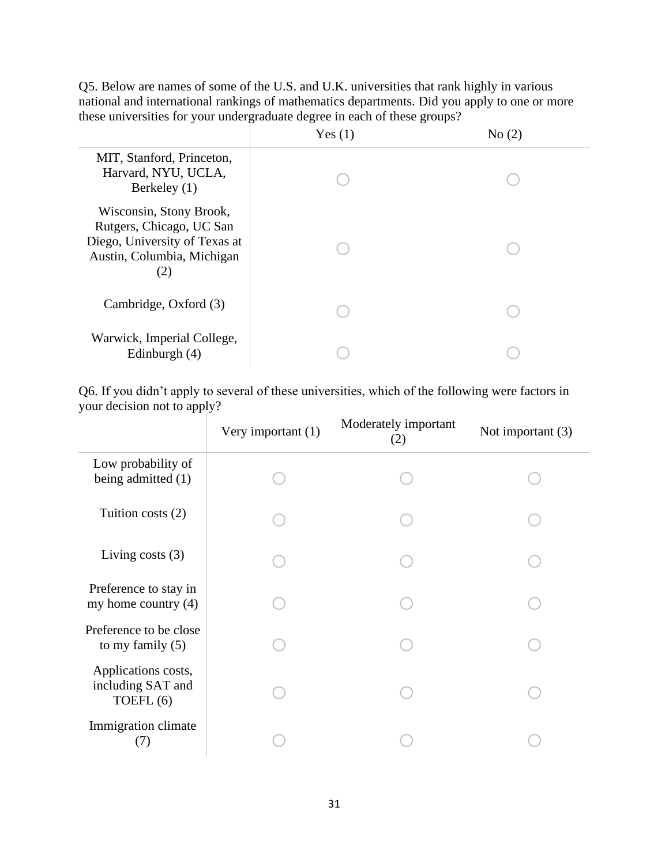Q5. Below are names of some of the U.S. and U.K. universities that rank highly in various national and international rankings of mathematics departments. Did you apply to one or more these universities for your undergraduate degree in each of these groups?

|                                                                                                                           | Yes(1) | No(2) |
|---------------------------------------------------------------------------------------------------------------------------|--------|-------|
| MIT, Stanford, Princeton,<br>Harvard, NYU, UCLA,<br>Berkeley (1)                                                          |        |       |
| Wisconsin, Stony Brook,<br>Rutgers, Chicago, UC San<br>Diego, University of Texas at<br>Austin, Columbia, Michigan<br>(2) |        |       |
| Cambridge, Oxford (3)                                                                                                     |        |       |
| Warwick, Imperial College,<br>Edinburgh $(4)$                                                                             |        |       |

Q6. If you didn't apply to several of these universities, which of the following were factors in your decision not to apply?

|                                                       | Very important (1) | Moderately important<br>(2) | Not important $(3)$ |
|-------------------------------------------------------|--------------------|-----------------------------|---------------------|
| Low probability of<br>being admitted (1)              |                    |                             |                     |
| Tuition costs $(2)$                                   |                    |                             |                     |
| Living costs $(3)$                                    |                    |                             |                     |
| Preference to stay in<br>my home country $(4)$        |                    |                             |                     |
| Preference to be close<br>to my family $(5)$          |                    |                             |                     |
| Applications costs,<br>including SAT and<br>TOEFL (6) |                    |                             |                     |
| Immigration climate<br>(7)                            |                    |                             |                     |